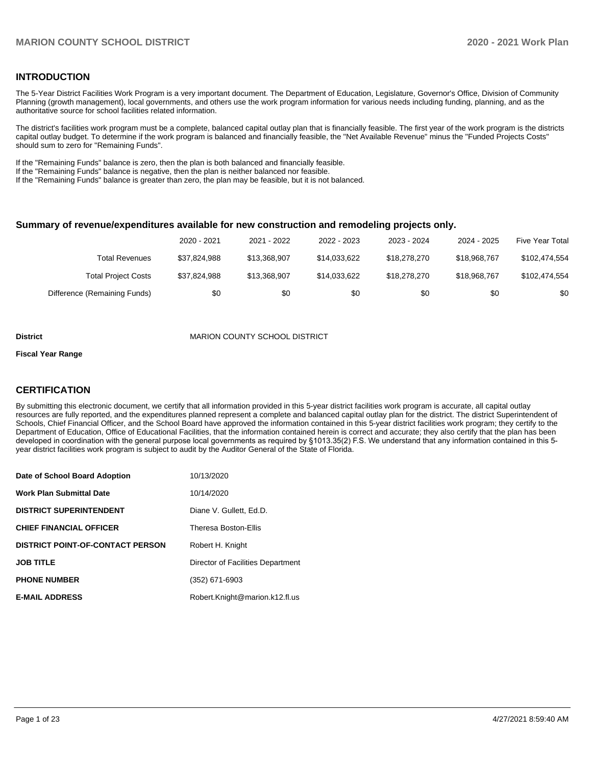### **INTRODUCTION**

The 5-Year District Facilities Work Program is a very important document. The Department of Education, Legislature, Governor's Office, Division of Community Planning (growth management), local governments, and others use the work program information for various needs including funding, planning, and as the authoritative source for school facilities related information.

The district's facilities work program must be a complete, balanced capital outlay plan that is financially feasible. The first year of the work program is the districts capital outlay budget. To determine if the work program is balanced and financially feasible, the "Net Available Revenue" minus the "Funded Projects Costs" should sum to zero for "Remaining Funds".

If the "Remaining Funds" balance is zero, then the plan is both balanced and financially feasible.

If the "Remaining Funds" balance is negative, then the plan is neither balanced nor feasible.

If the "Remaining Funds" balance is greater than zero, the plan may be feasible, but it is not balanced.

### **Summary of revenue/expenditures available for new construction and remodeling projects only.**

|                              | 2020 - 2021  | 2021 - 2022  | 2022 - 2023  | 2023 - 2024  | 2024 - 2025  | <b>Five Year Total</b> |
|------------------------------|--------------|--------------|--------------|--------------|--------------|------------------------|
| Total Revenues               | \$37.824.988 | \$13.368.907 | \$14.033.622 | \$18,278,270 | \$18,968,767 | \$102,474,554          |
| <b>Total Project Costs</b>   | \$37.824.988 | \$13.368.907 | \$14.033.622 | \$18,278,270 | \$18,968,767 | \$102,474,554          |
| Difference (Remaining Funds) | \$0          | \$0          | \$0          | \$0          | \$0          | \$0                    |

#### **District MARION COUNTY SCHOOL DISTRICT**

#### **Fiscal Year Range**

### **CERTIFICATION**

By submitting this electronic document, we certify that all information provided in this 5-year district facilities work program is accurate, all capital outlay resources are fully reported, and the expenditures planned represent a complete and balanced capital outlay plan for the district. The district Superintendent of Schools, Chief Financial Officer, and the School Board have approved the information contained in this 5-year district facilities work program; they certify to the Department of Education, Office of Educational Facilities, that the information contained herein is correct and accurate; they also certify that the plan has been developed in coordination with the general purpose local governments as required by §1013.35(2) F.S. We understand that any information contained in this 5 year district facilities work program is subject to audit by the Auditor General of the State of Florida.

| Date of School Board Adoption           | 10/13/2020                        |
|-----------------------------------------|-----------------------------------|
| Work Plan Submittal Date                | 10/14/2020                        |
| <b>DISTRICT SUPERINTENDENT</b>          | Diane V. Gullett. Ed.D.           |
| <b>CHIEF FINANCIAL OFFICER</b>          | <b>Theresa Boston-Ellis</b>       |
| <b>DISTRICT POINT-OF-CONTACT PERSON</b> | Robert H. Knight                  |
| JOB TITLE                               | Director of Facilities Department |
| <b>PHONE NUMBER</b>                     | (352) 671-6903                    |
| <b>E-MAIL ADDRESS</b>                   | Robert.Knight@marion.k12.fl.us    |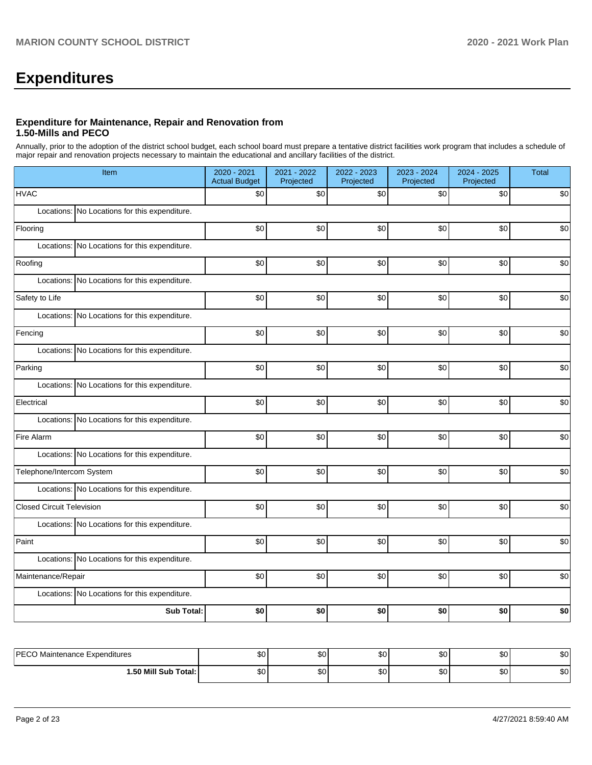# **Expenditures**

### **Expenditure for Maintenance, Repair and Renovation from 1.50-Mills and PECO**

Annually, prior to the adoption of the district school budget, each school board must prepare a tentative district facilities work program that includes a schedule of major repair and renovation projects necessary to maintain the educational and ancillary facilities of the district.

| Item                                             | 2020 - 2021<br><b>Actual Budget</b> | 2021 - 2022<br>Projected | 2022 - 2023<br>Projected | 2023 - 2024<br>Projected | 2024 - 2025<br>Projected | Total |  |  |  |  |
|--------------------------------------------------|-------------------------------------|--------------------------|--------------------------|--------------------------|--------------------------|-------|--|--|--|--|
| <b>HVAC</b>                                      | \$0                                 | \$0                      | \$0                      | \$0                      | \$0                      | \$0   |  |  |  |  |
| Locations: No Locations for this expenditure.    |                                     |                          |                          |                          |                          |       |  |  |  |  |
| Flooring                                         | \$0                                 | \$0                      | \$0                      | \$0                      | \$0                      | \$0   |  |  |  |  |
| Locations: No Locations for this expenditure.    |                                     |                          |                          |                          |                          |       |  |  |  |  |
| Roofing                                          | \$0                                 | \$0                      | \$0                      | \$0                      | \$0                      | \$0   |  |  |  |  |
| Locations:<br>No Locations for this expenditure. |                                     |                          |                          |                          |                          |       |  |  |  |  |
| Safety to Life                                   | $$0$$                               | \$0                      | \$0                      | \$0                      | \$0                      | \$0   |  |  |  |  |
| No Locations for this expenditure.<br>Locations: |                                     |                          |                          |                          |                          |       |  |  |  |  |
| Fencing                                          | \$0                                 | \$0                      | $$0$$                    | $$0$$                    | \$0                      | \$0   |  |  |  |  |
| Locations: No Locations for this expenditure.    |                                     |                          |                          |                          |                          |       |  |  |  |  |
| Parking                                          | \$0                                 | \$0                      | \$0                      | \$0                      | \$0                      | \$0   |  |  |  |  |
| Locations: No Locations for this expenditure.    |                                     |                          |                          |                          |                          |       |  |  |  |  |
| Electrical                                       | \$0                                 | \$0                      | $$0$$                    | $$0$$                    | \$0                      | \$0   |  |  |  |  |
| Locations: No Locations for this expenditure.    |                                     |                          |                          |                          |                          |       |  |  |  |  |
| Fire Alarm                                       | $$0$$                               | \$0                      | \$0                      | \$0                      | \$0                      | \$0   |  |  |  |  |
| Locations: No Locations for this expenditure.    |                                     |                          |                          |                          |                          |       |  |  |  |  |
| Telephone/Intercom System                        | \$0                                 | \$0                      | \$0                      | \$0                      | \$0                      | \$0   |  |  |  |  |
| Locations: No Locations for this expenditure.    |                                     |                          |                          |                          |                          |       |  |  |  |  |
| <b>Closed Circuit Television</b>                 | \$0                                 | \$0                      | \$0                      | \$0                      | \$0                      | \$0   |  |  |  |  |
| Locations: No Locations for this expenditure.    |                                     |                          |                          |                          |                          |       |  |  |  |  |
| Paint                                            | \$0                                 | \$0                      | \$0                      | \$0                      | \$0                      | \$0   |  |  |  |  |
| Locations: No Locations for this expenditure.    |                                     |                          |                          |                          |                          |       |  |  |  |  |
| Maintenance/Repair                               | \$0                                 | \$0                      | \$0                      | \$0                      | \$0                      | \$0   |  |  |  |  |
| Locations: No Locations for this expenditure.    |                                     |                          |                          |                          |                          |       |  |  |  |  |
| <b>Sub Total:</b>                                | \$0                                 | \$0                      | \$0                      | \$0                      | \$0                      | \$0   |  |  |  |  |
|                                                  |                                     |                          |                          |                          |                          |       |  |  |  |  |
| PECO Maintenance Expenditures                    | \$0                                 | \$0                      | \$0                      | \$0                      | \$0                      | \$0   |  |  |  |  |

**1.50 Mill Sub Total:** \$0 \$0 \$0 \$0 \$0 \$0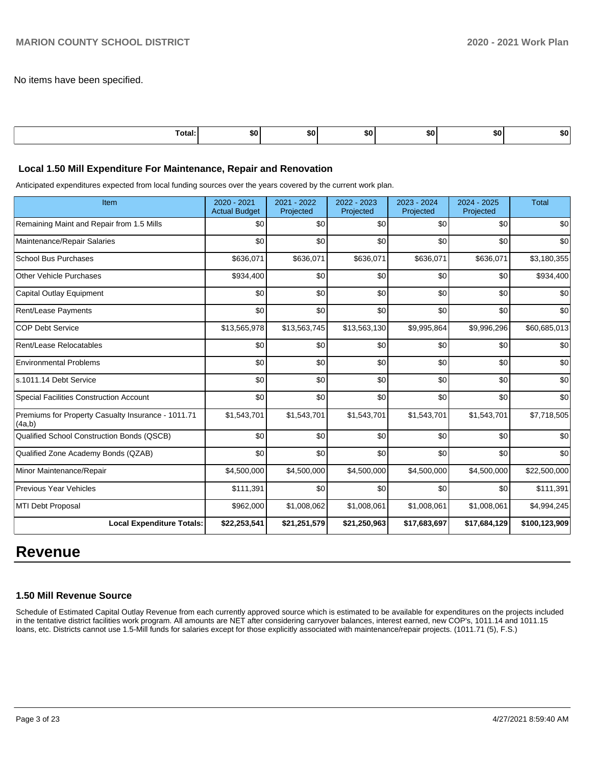No items have been specified.

| .<br>ı otal<br>. | . .<br>⊸o∪∴ | SO. | . .<br>- | SO. | 50 | 50. |
|------------------|-------------|-----|----------|-----|----|-----|
|                  |             |     |          |     |    |     |

### **Local 1.50 Mill Expenditure For Maintenance, Repair and Renovation**

Anticipated expenditures expected from local funding sources over the years covered by the current work plan.

| Item                                                         | 2020 - 2021<br><b>Actual Budget</b> | 2021 - 2022<br>Projected | 2022 - 2023<br>Projected | 2023 - 2024<br>Projected | 2024 - 2025<br>Projected | <b>Total</b>  |
|--------------------------------------------------------------|-------------------------------------|--------------------------|--------------------------|--------------------------|--------------------------|---------------|
| Remaining Maint and Repair from 1.5 Mills                    | \$0                                 | \$0                      | \$0                      | \$0                      | \$0                      | \$0           |
| Maintenance/Repair Salaries                                  | \$0                                 | \$0                      | \$0                      | \$0                      | \$0                      | \$0           |
| <b>School Bus Purchases</b>                                  | \$636,071                           | \$636,071                | \$636,071                | \$636,071                | \$636,071                | \$3,180,355   |
| <b>Other Vehicle Purchases</b>                               | \$934,400                           | \$0                      | \$0                      | \$0                      | \$0                      | \$934,400     |
| <b>Capital Outlay Equipment</b>                              | \$0                                 | \$0                      | \$0                      | \$0                      | \$0                      | \$0           |
| Rent/Lease Payments                                          | \$0                                 | \$0                      | \$0                      | \$0                      | \$0                      | \$0           |
| <b>COP Debt Service</b>                                      | \$13,565,978                        | \$13,563,745             | \$13,563,130             | \$9,995,864              | \$9,996,296              | \$60,685,013  |
| Rent/Lease Relocatables                                      | \$0                                 | \$0                      | \$0                      | \$0                      | \$0                      | \$0           |
| <b>Environmental Problems</b>                                | \$0                                 | \$0                      | \$0                      | \$0                      | \$0                      | \$0           |
| s.1011.14 Debt Service                                       | \$0                                 | \$0                      | \$0                      | \$0                      | \$0                      | \$0           |
| <b>Special Facilities Construction Account</b>               | \$0                                 | \$0                      | \$0                      | \$0                      | \$0                      | \$0           |
| Premiums for Property Casualty Insurance - 1011.71<br>(4a,b) | \$1,543,701                         | \$1,543,701              | \$1,543,701              | \$1,543,701              | \$1,543,701              | \$7,718,505   |
| Qualified School Construction Bonds (QSCB)                   | \$0                                 | \$0                      | \$0                      | \$0                      | \$0                      | \$0           |
| Qualified Zone Academy Bonds (QZAB)                          | \$0                                 | \$0                      | \$0                      | \$0                      | \$0                      | \$0           |
| Minor Maintenance/Repair                                     | \$4,500,000                         | \$4,500,000              | \$4,500,000              | \$4,500,000              | \$4,500,000              | \$22,500,000  |
| <b>Previous Year Vehicles</b>                                | \$111,391                           | \$0                      | \$0                      | \$0                      | \$0                      | \$111,391     |
| MTI Debt Proposal                                            | \$962,000                           | \$1,008,062              | \$1,008,061              | \$1,008,061              | \$1,008,061              | \$4,994,245   |
| <b>Local Expenditure Totals:</b>                             | \$22,253,541                        | \$21,251,579             | \$21,250,963             | \$17,683,697             | \$17,684,129             | \$100,123,909 |

# **Revenue**

### **1.50 Mill Revenue Source**

Schedule of Estimated Capital Outlay Revenue from each currently approved source which is estimated to be available for expenditures on the projects included in the tentative district facilities work program. All amounts are NET after considering carryover balances, interest earned, new COP's, 1011.14 and 1011.15 loans, etc. Districts cannot use 1.5-Mill funds for salaries except for those explicitly associated with maintenance/repair projects. (1011.71 (5), F.S.)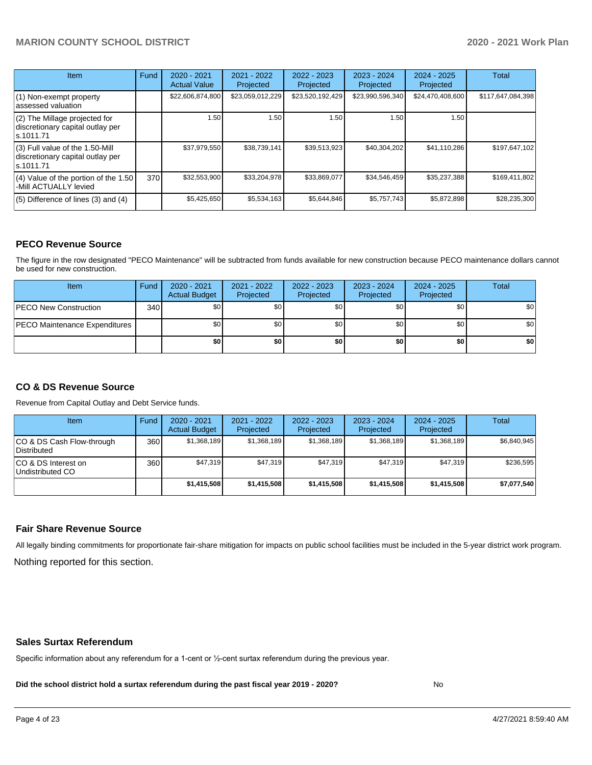| <b>Item</b>                                                                       | Fund | $2020 - 2021$<br><b>Actual Value</b> | $2021 - 2022$<br>Projected | $2022 - 2023$<br>Projected | $2023 - 2024$<br>Projected | $2024 - 2025$<br>Projected | Total             |
|-----------------------------------------------------------------------------------|------|--------------------------------------|----------------------------|----------------------------|----------------------------|----------------------------|-------------------|
| $(1)$ Non-exempt property<br>lassessed valuation                                  |      | \$22,606,874,800                     | \$23,059,012,229           | \$23,520,192,429           | \$23,990,596,340           | \$24,470,408,600           | \$117,647,084,398 |
| (2) The Millage projected for<br>discretionary capital outlay per<br>ls.1011.71   |      | 1.50                                 | 1.50                       | 1.50                       | 1.50                       | 1.50                       |                   |
| (3) Full value of the 1.50-Mill<br>discretionary capital outlay per<br>ls.1011.71 |      | \$37,979,550                         | \$38,739,141               | \$39,513,923               | \$40,304,202               | \$41,110,286               | \$197,647,102     |
| $(4)$ Value of the portion of the 1.50<br>-Mill ACTUALLY levied                   | 370I | \$32,553,900                         | \$33,204,978               | \$33,869,077               | \$34,546,459               | \$35,237,388               | \$169,411,802     |
| $(5)$ Difference of lines $(3)$ and $(4)$                                         |      | \$5,425,650                          | \$5,534,163                | \$5,644,846                | \$5,757,743                | \$5,872,898                | \$28,235,300      |

### **PECO Revenue Source**

The figure in the row designated "PECO Maintenance" will be subtracted from funds available for new construction because PECO maintenance dollars cannot be used for new construction.

| Item                                 | Fund | $2020 - 2021$<br><b>Actual Budget</b> | 2021 - 2022<br>Projected | 2022 - 2023<br>Projected | 2023 - 2024<br>Projected | 2024 - 2025<br>Projected | Total            |
|--------------------------------------|------|---------------------------------------|--------------------------|--------------------------|--------------------------|--------------------------|------------------|
| <b>PECO New Construction</b>         | 340  | \$0                                   | \$0 <sub>1</sub>         | \$0                      | \$0 <sub>0</sub>         | \$0 <sub>1</sub>         | \$0 <sub>1</sub> |
| <b>PECO Maintenance Expenditures</b> |      | ا 30                                  | \$٥Ι                     | \$0                      | \$0 <sub>1</sub>         | \$0                      | \$0              |
|                                      |      | \$0                                   | \$0                      | \$0                      | \$0                      | \$0                      | \$0              |

## **CO & DS Revenue Source**

Revenue from Capital Outlay and Debt Service funds.

| Item                                      | Fund | $2020 - 2021$<br><b>Actual Budget</b> | 2021 - 2022<br>Projected | 2022 - 2023<br>Projected | $2023 - 2024$<br>Projected | $2024 - 2025$<br>Projected | Total       |
|-------------------------------------------|------|---------------------------------------|--------------------------|--------------------------|----------------------------|----------------------------|-------------|
| ICO & DS Cash Flow-through<br>Distributed | 360  | \$1,368,189                           | \$1,368,189              | \$1,368,189              | \$1,368,189                | \$1,368,189                | \$6,840,945 |
| ICO & DS Interest on<br>Undistributed CO  | 360  | \$47.319                              | \$47.319                 | \$47.319                 | \$47.319                   | \$47.319                   | \$236,595   |
|                                           |      | \$1.415,508                           | \$1,415,508              | \$1,415,508              | \$1,415,508                | \$1.415.508                | \$7,077,540 |

### **Fair Share Revenue Source**

Nothing reported for this section. All legally binding commitments for proportionate fair-share mitigation for impacts on public school facilities must be included in the 5-year district work program.

### **Sales Surtax Referendum**

Specific information about any referendum for a 1-cent or ½-cent surtax referendum during the previous year.

**Did the school district hold a surtax referendum during the past fiscal year 2019 - 2020?**

No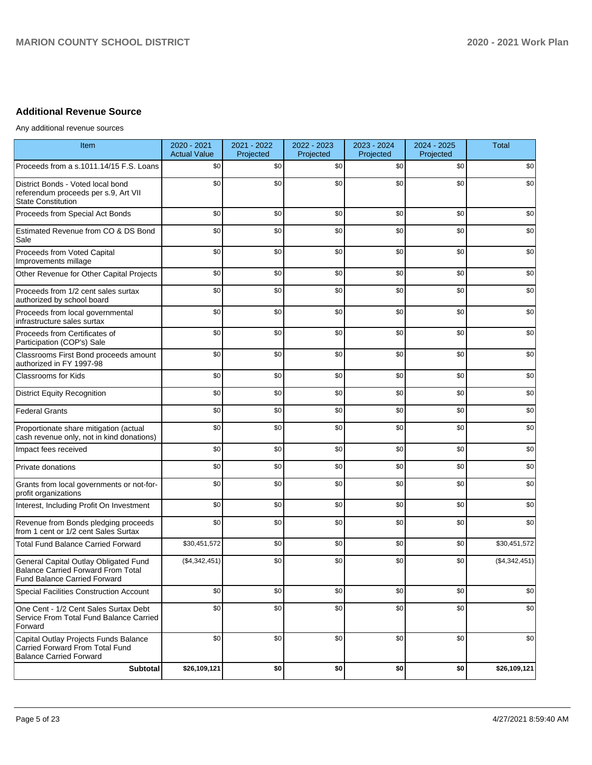# **Additional Revenue Source**

Any additional revenue sources

| Item                                                                                                                      | 2020 - 2021<br><b>Actual Value</b> | 2021 - 2022<br>Projected | 2022 - 2023<br>Projected | 2023 - 2024<br>Projected | 2024 - 2025<br>Projected | <b>Total</b>  |
|---------------------------------------------------------------------------------------------------------------------------|------------------------------------|--------------------------|--------------------------|--------------------------|--------------------------|---------------|
| Proceeds from a s.1011.14/15 F.S. Loans                                                                                   | \$0                                | \$0                      | \$0                      | \$0                      | \$0                      | \$0           |
| District Bonds - Voted local bond<br>referendum proceeds per s.9, Art VII<br><b>State Constitution</b>                    | \$0                                | \$0                      | \$0                      | \$0                      | \$0                      | \$0           |
| Proceeds from Special Act Bonds                                                                                           | \$0                                | \$0                      | \$0                      | \$0                      | \$0                      | \$0           |
| Estimated Revenue from CO & DS Bond<br>Sale                                                                               | \$0                                | \$0                      | \$0                      | \$0                      | \$0                      | \$0           |
| Proceeds from Voted Capital<br>Improvements millage                                                                       | \$0                                | \$0                      | \$0                      | \$0                      | \$0                      | \$0           |
| Other Revenue for Other Capital Projects                                                                                  | \$0                                | \$0                      | \$0                      | \$0                      | \$0                      | \$0           |
| Proceeds from 1/2 cent sales surtax<br>authorized by school board                                                         | \$0                                | \$0                      | \$0                      | \$0                      | \$0                      | \$0           |
| Proceeds from local governmental<br>infrastructure sales surtax                                                           | \$0                                | \$0                      | \$0                      | \$0                      | \$0                      | \$0           |
| Proceeds from Certificates of<br>Participation (COP's) Sale                                                               | \$0                                | \$0                      | \$0                      | \$0                      | \$0                      | \$0           |
| Classrooms First Bond proceeds amount<br>authorized in FY 1997-98                                                         | \$0                                | \$0                      | \$0                      | \$0                      | \$0                      | \$0           |
| <b>Classrooms for Kids</b>                                                                                                | \$0                                | \$0                      | \$0                      | \$0                      | \$0                      | \$0           |
| <b>District Equity Recognition</b>                                                                                        | \$0                                | \$0                      | \$0                      | \$0                      | \$0                      | \$0           |
| <b>Federal Grants</b>                                                                                                     | \$0                                | \$0                      | \$0                      | \$0                      | \$0                      | \$0           |
| Proportionate share mitigation (actual<br>cash revenue only, not in kind donations)                                       | \$0                                | \$0                      | \$0                      | \$0                      | \$0                      | \$0           |
| Impact fees received                                                                                                      | \$0                                | \$0                      | \$0                      | \$0                      | \$0                      | \$0           |
| Private donations                                                                                                         | \$0                                | \$0                      | \$0                      | \$0                      | \$0                      | \$0           |
| Grants from local governments or not-for-<br>profit organizations                                                         | \$0                                | \$0                      | \$0                      | \$0                      | \$0                      | \$0           |
| Interest, Including Profit On Investment                                                                                  | \$0                                | \$0                      | \$0                      | \$0                      | \$0                      | \$0           |
| Revenue from Bonds pledging proceeds<br>from 1 cent or 1/2 cent Sales Surtax                                              | \$0                                | \$0                      | \$0                      | \$0                      | \$0                      | \$0           |
| <b>Total Fund Balance Carried Forward</b>                                                                                 | \$30,451,572                       | \$0                      | \$0                      | \$0                      | \$0                      | \$30,451,572  |
| General Capital Outlay Obligated Fund<br><b>Balance Carried Forward From Total</b><br><b>Fund Balance Carried Forward</b> | (\$4,342,451)                      | \$0                      | \$0                      | \$0                      | \$0                      | (\$4,342,451) |
| Special Facilities Construction Account                                                                                   | \$0                                | \$0                      | \$0                      | \$0                      | \$0                      | \$0           |
| One Cent - 1/2 Cent Sales Surtax Debt<br>Service From Total Fund Balance Carried<br>Forward                               | \$0                                | \$0                      | \$0                      | \$0                      | \$0                      | \$0           |
| Capital Outlay Projects Funds Balance<br>Carried Forward From Total Fund<br><b>Balance Carried Forward</b>                | \$0                                | \$0                      | \$0                      | \$0                      | \$0                      | \$0           |
| <b>Subtotal</b>                                                                                                           | \$26,109,121                       | \$0                      | \$0                      | \$0                      | \$0                      | \$26,109,121  |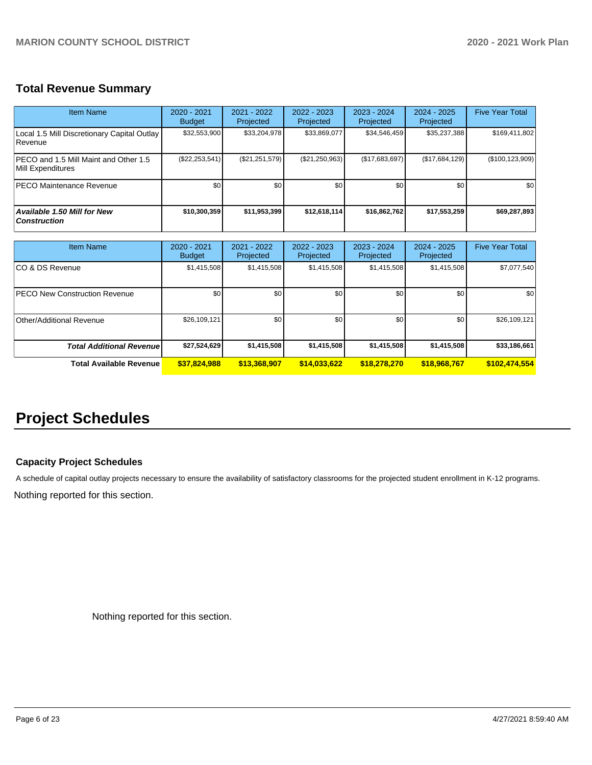# **Total Revenue Summary**

| Item Name                                                         | $2020 - 2021$<br><b>Budget</b> | $2021 - 2022$<br>Projected | $2022 - 2023$<br>Projected | $2023 - 2024$<br>Projected | $2024 - 2025$<br>Projected | <b>Five Year Total</b> |
|-------------------------------------------------------------------|--------------------------------|----------------------------|----------------------------|----------------------------|----------------------------|------------------------|
| Local 1.5 Mill Discretionary Capital Outlay<br>Revenue            | \$32,553,900                   | \$33,204,978               | \$33,869,077               | \$34,546,459               | \$35,237,388               | \$169,411,802          |
| <b>PECO</b> and 1.5 Mill Maint and Other 1.5<br>Mill Expenditures | $(\$22, 253, 541)$             | (\$21, 251, 579)           | (\$21,250,963)             | (\$17,683,697)             | (S17,684,129)              | (\$100, 123, 909)      |
| <b>IPECO Maintenance Revenue</b>                                  | \$0                            | \$0                        | \$0                        | \$0                        | \$0                        | \$0                    |
| <b>Available 1.50 Mill for New</b><br><b>Construction</b>         | \$10,300,359                   | \$11.953.399               | \$12,618,114               | \$16,862,762               | \$17,553,259               | \$69,287,893           |

| <b>Item Name</b>                      | $2020 - 2021$<br><b>Budget</b> | 2021 - 2022<br>Projected | 2022 - 2023<br>Projected | 2023 - 2024<br>Projected | $2024 - 2025$<br>Projected | <b>Five Year Total</b> |
|---------------------------------------|--------------------------------|--------------------------|--------------------------|--------------------------|----------------------------|------------------------|
| ICO & DS Revenue                      | \$1,415,508                    | \$1,415,508              | \$1,415,508              | \$1,415,508              | \$1,415,508                | \$7,077,540            |
| <b>IPECO New Construction Revenue</b> | \$0                            | \$0 <sub>1</sub>         | \$0                      | \$0                      | \$0                        | \$0                    |
| Other/Additional Revenue              | \$26,109,121                   | \$0 <sub>1</sub>         | \$0                      | \$0                      | \$0                        | \$26,109,121           |
| <b>Total Additional Revenuel</b>      | \$27,524,629                   | \$1,415,508              | \$1,415,508              | \$1,415,508              | \$1,415,508                | \$33,186,661           |
| Total Available Revenue               | \$37,824,988                   | \$13,368,907             | \$14,033,622             | \$18,278,270             | \$18,968,767               | \$102,474,554          |

# **Project Schedules**

## **Capacity Project Schedules**

A schedule of capital outlay projects necessary to ensure the availability of satisfactory classrooms for the projected student enrollment in K-12 programs.

Nothing reported for this section.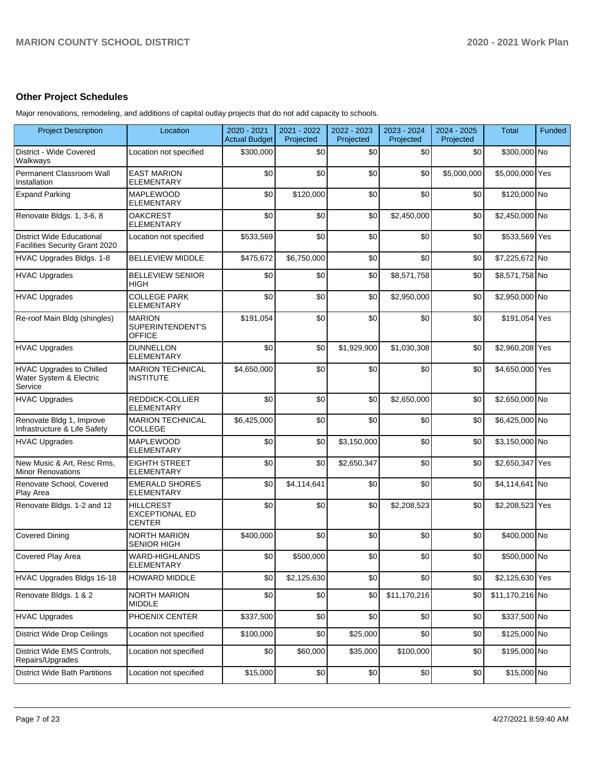# **Other Project Schedules**

Major renovations, remodeling, and additions of capital outlay projects that do not add capacity to schools.

| <b>Project Description</b>                                            | Location                                            | 2020 - 2021<br><b>Actual Budget</b> | 2021 - 2022<br>Projected | 2022 - 2023<br>Projected | 2023 - 2024<br>Projected | 2024 - 2025<br>Projected | Total           | Funded |
|-----------------------------------------------------------------------|-----------------------------------------------------|-------------------------------------|--------------------------|--------------------------|--------------------------|--------------------------|-----------------|--------|
| District - Wide Covered<br>Walkways                                   | Location not specified                              | \$300,000                           | \$0                      | \$0                      | \$0                      | \$0                      | \$300,000 No    |        |
| Permanent Classroom Wall<br>Installation                              | <b>EAST MARION</b><br><b>ELEMENTARY</b>             | \$0                                 | \$0                      | \$0                      | \$0                      | \$5,000,000              | \$5,000,000 Yes |        |
| <b>Expand Parking</b>                                                 | <b>MAPLEWOOD</b><br>ELEMENTARY                      | \$0                                 | \$120,000                | \$0                      | \$0                      | \$0                      | \$120,000 No    |        |
| Renovate Bldgs. 1, 3-6, 8                                             | <b>OAKCREST</b><br><b>ELEMENTARY</b>                | \$0                                 | \$0                      | \$0                      | \$2,450,000              | \$0                      | \$2,450,000 No  |        |
| <b>District Wide Educational</b><br>Facilities Security Grant 2020    | Location not specified                              | \$533,569                           | \$0                      | \$0                      | \$0                      | \$0                      | \$533,569 Yes   |        |
| HVAC Upgrades Bldgs. 1-8                                              | <b>BELLEVIEW MIDDLE</b>                             | \$475,672                           | \$6,750,000              | \$0                      | \$0                      | \$0                      | \$7,225,672 No  |        |
| <b>HVAC Upgrades</b>                                                  | <b>BELLEVIEW SENIOR</b><br>HIGH                     | \$0                                 | \$0                      | \$0                      | \$8,571,758              | \$0                      | \$8,571,758 No  |        |
| <b>HVAC Upgrades</b>                                                  | <b>COLLEGE PARK</b><br><b>ELEMENTARY</b>            | \$0                                 | \$0                      | \$0                      | \$2,950,000              | \$0                      | \$2,950,000 No  |        |
| Re-roof Main Bldg (shingles)                                          | <b>MARION</b><br>SUPERINTENDENT'S<br><b>OFFICE</b>  | \$191,054                           | \$0                      | \$0                      | \$0                      | \$0                      | \$191,054 Yes   |        |
| <b>HVAC Upgrades</b>                                                  | <b>DUNNELLON</b><br><b>ELEMENTARY</b>               | \$0                                 | \$0                      | \$1,929,900              | \$1,030,308              | \$0                      | \$2,960,208 Yes |        |
| <b>HVAC Upgrades to Chilled</b><br>Water System & Electric<br>Service | <b>MARION TECHNICAL</b><br><b>INSTITUTE</b>         | \$4,650,000                         | \$0                      | \$0                      | \$0                      | \$0                      | \$4,650,000 Yes |        |
| <b>HVAC Upgrades</b>                                                  | REDDICK-COLLIER<br><b>ELEMENTARY</b>                | \$0                                 | \$0                      | \$0                      | \$2,650,000              | \$0                      | \$2,650,000 No  |        |
| Renovate Bldg 1, Improve<br>Infrastructure & Life Safety              | <b>MARION TECHNICAL</b><br>COLLEGE                  | \$6,425,000                         | \$0                      | \$0                      | \$0                      | \$0                      | \$6,425,000 No  |        |
| <b>HVAC Upgrades</b>                                                  | <b>MAPLEWOOD</b><br><b>ELEMENTARY</b>               | \$0                                 | \$0                      | \$3,150,000              | \$0                      | \$0                      | \$3,150,000 No  |        |
| New Music & Art, Resc Rms,<br><b>Minor Renovations</b>                | <b>EIGHTH STREET</b><br><b>ELEMENTARY</b>           | \$0                                 | \$0                      | \$2,650,347              | \$0                      | \$0                      | \$2,650,347 Yes |        |
| Renovate School, Covered<br>Play Area                                 | <b>EMERALD SHORES</b><br><b>ELEMENTARY</b>          | \$0                                 | \$4,114,641              | \$0                      | \$0                      | \$0                      | \$4,114,641 No  |        |
| Renovate Bldgs. 1-2 and 12                                            | <b>HILLCREST</b><br><b>EXCEPTIONAL ED</b><br>CENTER | \$0                                 | \$0                      | \$0                      | \$2,208,523              | \$0                      | \$2,208,523 Yes |        |
| <b>Covered Dining</b>                                                 | <b>NORTH MARION</b><br><b>SENIOR HIGH</b>           | \$400,000                           | \$0                      | \$0                      | \$0                      | \$0                      | \$400,000 No    |        |
| Covered Play Area                                                     | WARD-HIGHLANDS<br><b>ELEMENTARY</b>                 | \$0                                 | \$500,000                | $\$0$                    | \$0                      | \$0                      | \$500,000 No    |        |
| HVAC Upgrades Bldgs 16-18                                             | <b>HOWARD MIDDLE</b>                                | \$0                                 | \$2,125,630              | \$0                      | \$0                      | \$0                      | \$2,125,630 Yes |        |
| Renovate Bldgs. 1 & 2                                                 | <b>NORTH MARION</b><br><b>MIDDLE</b>                | \$0                                 | \$0                      | \$0                      | \$11,170,216             | \$0                      | \$11,170,216 No |        |
| <b>HVAC Upgrades</b>                                                  | PHOENIX CENTER                                      | \$337,500                           | \$0                      | \$0                      | \$0                      | \$0                      | \$337,500 No    |        |
| <b>District Wide Drop Ceilings</b>                                    | Location not specified                              | \$100,000                           | \$0                      | \$25,000                 | \$0                      | \$0                      | \$125,000 No    |        |
| District Wide EMS Controls,<br>Repairs/Upgrades                       | Location not specified                              | \$0                                 | \$60,000                 | \$35,000                 | \$100,000                | \$0                      | \$195,000 No    |        |
| <b>District Wide Bath Partitions</b>                                  | Location not specified                              | \$15,000                            | \$0                      | \$0                      | \$0                      | \$0                      | \$15,000 No     |        |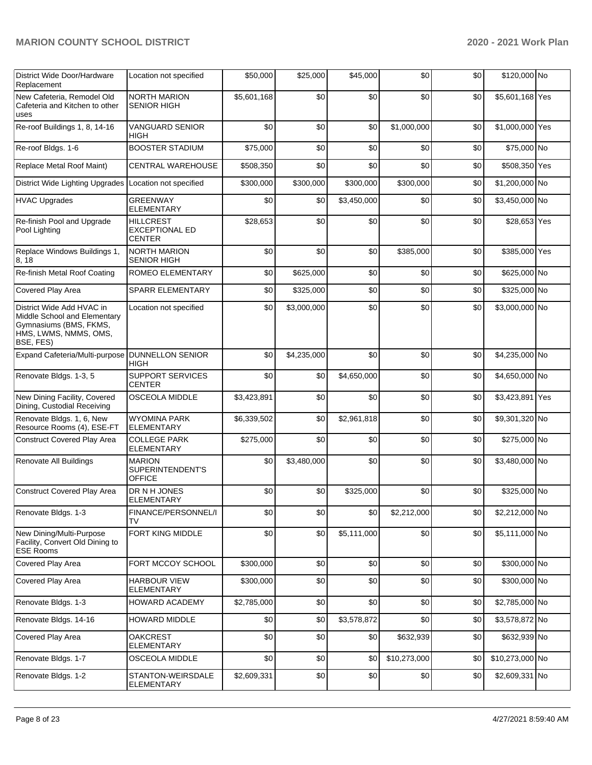| District Wide Door/Hardware<br>Replacement                                                                                | Location not specified                                     | \$50,000    | \$25,000    | \$45,000    | \$0          | \$0 | \$120,000 No    |  |
|---------------------------------------------------------------------------------------------------------------------------|------------------------------------------------------------|-------------|-------------|-------------|--------------|-----|-----------------|--|
| New Cafeteria, Remodel Old<br>Cafeteria and Kitchen to other<br>uses                                                      | <b>NORTH MARION</b><br><b>SENIOR HIGH</b>                  | \$5,601,168 | \$0         | \$0         | \$0          | \$0 | \$5,601,168 Yes |  |
| Re-roof Buildings 1, 8, 14-16                                                                                             | <b>VANGUARD SENIOR</b><br>HIGH                             | \$0         | \$0         | \$0         | \$1,000,000  | \$0 | \$1,000,000 Yes |  |
| Re-roof Bldgs. 1-6                                                                                                        | <b>BOOSTER STADIUM</b>                                     | \$75,000    | \$0         | \$0         | \$0          | \$0 | \$75,000 No     |  |
| Replace Metal Roof Maint)                                                                                                 | CENTRAL WAREHOUSE                                          | \$508,350   | \$0         | \$0         | \$0          | \$0 | \$508,350 Yes   |  |
| District Wide Lighting Upgrades                                                                                           | Location not specified                                     | \$300,000   | \$300,000   | \$300,000   | \$300,000    | \$0 | \$1,200,000 No  |  |
| <b>HVAC Upgrades</b>                                                                                                      | <b>GREENWAY</b><br><b>ELEMENTARY</b>                       | \$0         | \$0         | \$3,450,000 | \$0          | \$0 | \$3,450,000 No  |  |
| Re-finish Pool and Upgrade<br>Pool Lighting                                                                               | <b>HILLCREST</b><br><b>EXCEPTIONAL ED</b><br><b>CENTER</b> | \$28,653    | \$0         | \$0         | \$0          | \$0 | \$28,653 Yes    |  |
| Replace Windows Buildings 1,<br>8, 18                                                                                     | NORTH MARION<br><b>SENIOR HIGH</b>                         | \$0         | \$0         | \$0         | \$385,000    | \$0 | \$385,000 Yes   |  |
| Re-finish Metal Roof Coating                                                                                              | ROMEO ELEMENTARY                                           | \$0         | \$625,000   | \$0         | \$0          | \$0 | \$625,000 No    |  |
| Covered Play Area                                                                                                         | SPARR ELEMENTARY                                           | \$0         | \$325,000   | \$0         | \$0          | \$0 | \$325,000 No    |  |
| District Wide Add HVAC in<br>Middle School and Elementary<br>Gymnasiums (BMS, FKMS,<br>HMS, LWMS, NMMS, OMS,<br>BSE, FES) | Location not specified                                     | \$0         | \$3,000,000 | \$0         | \$0          | \$0 | \$3,000,000 No  |  |
| Expand Cafeteria/Multi-purpose                                                                                            | <b>DUNNELLON SENIOR</b><br>HIGH                            | \$0         | \$4,235,000 | \$0         | \$0          | \$0 | \$4,235,000 No  |  |
| Renovate Bldgs. 1-3, 5                                                                                                    | <b>SUPPORT SERVICES</b><br><b>CENTER</b>                   | \$0         | \$0         | \$4,650,000 | \$0          | \$0 | \$4,650,000 No  |  |
| New Dining Facility, Covered<br>Dining, Custodial Receiving                                                               | OSCEOLA MIDDLE                                             | \$3,423,891 | \$0         | \$0         | \$0          | \$0 | \$3,423,891 Yes |  |
| Renovate Bldgs. 1, 6, New<br>Resource Rooms (4), ESE-FT                                                                   | <b>WYOMINA PARK</b><br><b>ELEMENTARY</b>                   | \$6,339,502 | \$0         | \$2,961,818 | \$0          | \$0 | \$9,301,320 No  |  |
| <b>Construct Covered Play Area</b>                                                                                        | <b>COLLEGE PARK</b><br><b>ELEMENTARY</b>                   | \$275,000   | \$0         | \$0         | \$0          | \$0 | \$275,000 No    |  |
| Renovate All Buildings                                                                                                    | <b>MARION</b><br>SUPERINTENDENT'S<br><b>OFFICE</b>         | \$0         | \$3,480,000 | \$0         | \$0          | \$0 | \$3,480,000 No  |  |
| <b>Construct Covered Play Area</b>                                                                                        | DR N H JONES<br><b>ELEMENTARY</b>                          | \$0         | \$0         | \$325,000   | \$0          | \$0 | \$325,000 No    |  |
| Renovate Bldgs. 1-3                                                                                                       | FINANCE/PERSONNEL/I<br>TV                                  | \$0         | \$0         | \$0         | \$2,212,000  | \$0 | \$2,212,000 No  |  |
| New Dining/Multi-Purpose<br>Facility, Convert Old Dining to<br><b>ESE</b> Rooms                                           | FORT KING MIDDLE                                           | \$0         | \$0         | \$5,111,000 | \$0          | \$0 | \$5,111,000 No  |  |
| Covered Play Area                                                                                                         | FORT MCCOY SCHOOL                                          | \$300,000   | \$0         | \$0         | \$0          | \$0 | \$300,000 No    |  |
| Covered Play Area                                                                                                         | <b>HARBOUR VIEW</b><br><b>ELEMENTARY</b>                   | \$300,000   | \$0         | \$0         | \$0          | \$0 | \$300,000 No    |  |
| Renovate Bldgs. 1-3                                                                                                       | <b>HOWARD ACADEMY</b>                                      | \$2,785,000 | \$0         | \$0         | \$0          | \$0 | \$2,785,000 No  |  |
| Renovate Bldgs. 14-16                                                                                                     | <b>HOWARD MIDDLE</b>                                       | \$0         | \$0         | \$3,578,872 | \$0          | \$0 | \$3,578,872 No  |  |
| Covered Play Area                                                                                                         | <b>OAKCREST</b><br><b>ELEMENTARY</b>                       | \$0         | \$0         | \$0         | \$632,939    | \$0 | \$632,939 No    |  |
| Renovate Bldgs. 1-7                                                                                                       | OSCEOLA MIDDLE                                             | \$0         | \$0         | \$0         | \$10,273,000 | \$0 | \$10,273,000 No |  |
| Renovate Bldgs. 1-2                                                                                                       | STANTON-WEIRSDALE<br><b>ELEMENTARY</b>                     | \$2,609,331 | \$0         | \$0         | \$0          | \$0 | \$2,609,331 No  |  |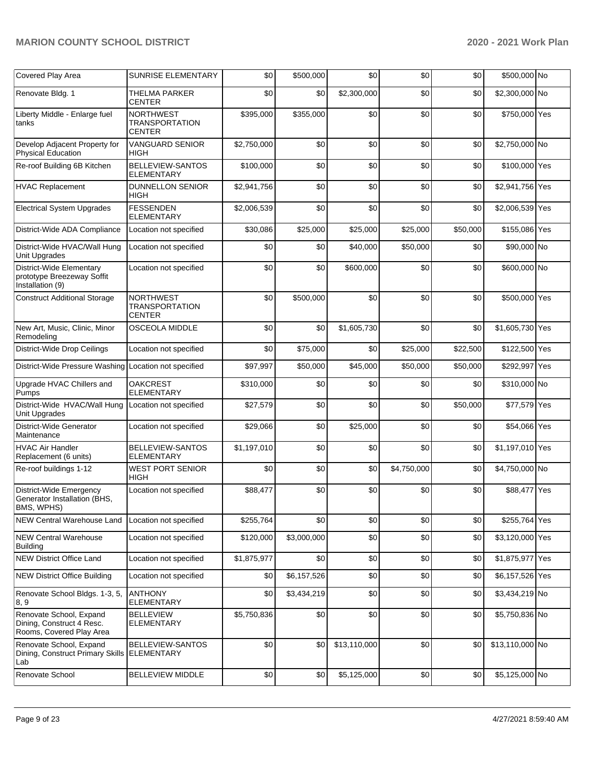| Covered Play Area                                                                | <b>SUNRISE ELEMENTARY</b>                                  | \$0         | \$500,000   | \$0          | \$0         | \$0      | \$500,000 No    |  |
|----------------------------------------------------------------------------------|------------------------------------------------------------|-------------|-------------|--------------|-------------|----------|-----------------|--|
| Renovate Bldg. 1                                                                 | <b>THELMA PARKER</b><br>CENTER                             | \$0         | \$0         | \$2,300,000  | \$0         | \$0      | \$2,300,000 No  |  |
| Liberty Middle - Enlarge fuel<br>tanks                                           | <b>NORTHWEST</b><br><b>TRANSPORTATION</b><br><b>CENTER</b> | \$395,000   | \$355,000   | \$0          | \$0         | \$0      | \$750,000 Yes   |  |
| Develop Adjacent Property for<br><b>Physical Education</b>                       | <b>VANGUARD SENIOR</b><br>HIGH                             | \$2,750,000 | \$0         | \$0          | \$0         | \$0      | \$2,750,000 No  |  |
| Re-roof Building 6B Kitchen                                                      | BELLEVIEW-SANTOS<br><b>ELEMENTARY</b>                      | \$100,000   | \$0         | \$0          | \$0         | \$0      | \$100,000 Yes   |  |
| <b>HVAC Replacement</b>                                                          | <b>DUNNELLON SENIOR</b><br><b>HIGH</b>                     | \$2,941,756 | \$0         | \$0          | \$0         | \$0      | \$2,941,756 Yes |  |
| <b>Electrical System Upgrades</b>                                                | <b>FESSENDEN</b><br><b>ELEMENTARY</b>                      | \$2,006,539 | \$0         | \$0          | \$0         | \$0      | \$2,006,539 Yes |  |
| District-Wide ADA Compliance                                                     | Location not specified                                     | \$30,086    | \$25,000    | \$25,000     | \$25,000    | \$50,000 | \$155,086 Yes   |  |
| District-Wide HVAC/Wall Hung<br>Unit Upgrades                                    | Location not specified                                     | \$0         | \$0         | \$40,000     | \$50,000    | \$0      | \$90,000 No     |  |
| District-Wide Elementary<br>prototype Breezeway Soffit<br>Installation (9)       | Location not specified                                     | \$0         | \$0         | \$600,000    | \$0         | \$0      | \$600,000 No    |  |
| <b>Construct Additional Storage</b>                                              | <b>NORTHWEST</b><br><b>TRANSPORTATION</b><br><b>CENTER</b> | \$0         | \$500,000   | \$0          | \$0         | \$0      | \$500,000 Yes   |  |
| New Art, Music, Clinic, Minor<br>Remodeling                                      | <b>OSCEOLA MIDDLE</b>                                      | \$0         | \$0         | \$1,605,730  | \$0         | \$0      | \$1,605,730 Yes |  |
| District-Wide Drop Ceilings                                                      | Location not specified                                     | \$0         | \$75,000    | \$0          | \$25,000    | \$22,500 | \$122,500 Yes   |  |
| District-Wide Pressure Washing Location not specified                            |                                                            | \$97,997    | \$50,000    | \$45,000     | \$50,000    | \$50,000 | \$292,997 Yes   |  |
| Upgrade HVAC Chillers and<br>Pumps                                               | <b>OAKCREST</b><br><b>ELEMENTARY</b>                       | \$310,000   | \$0         | \$0          | \$0         | \$0      | \$310,000 No    |  |
| District-Wide HVAC/Wall Hung<br>Unit Upgrades                                    | Location not specified                                     | \$27,579    | \$0         | \$0          | \$0         | \$50,000 | \$77,579 Yes    |  |
| District-Wide Generator<br>Maintenance                                           | Location not specified                                     | \$29,066    | \$0         | \$25,000     | \$0         | \$0      | \$54,066 Yes    |  |
| <b>HVAC Air Handler</b><br>Replacement (6 units)                                 | BELLEVIEW-SANTOS<br>ELEMENTARY                             | \$1,197,010 | \$0         | \$0          | \$0         | \$0      | \$1,197,010 Yes |  |
| Re-roof buildings 1-12                                                           | <b>WEST PORT SENIOR</b><br>HIGH                            | \$0         | \$0         | \$0          | \$4,750,000 | \$0      | \$4,750,000 No  |  |
| District-Wide Emergency<br>Generator Installation (BHS,<br>BMS, WPHS)            | Location not specified                                     | \$88,477    | \$0         | \$0          | \$0         | \$0      | \$88,477 Yes    |  |
| <b>NEW Central Warehouse Land</b>                                                | Location not specified                                     | \$255,764   | \$0         | \$0          | \$0         | \$0      | \$255,764 Yes   |  |
| <b>NEW Central Warehouse</b><br><b>Building</b>                                  | Location not specified                                     | \$120,000   | \$3,000,000 | \$0          | \$0         | \$0      | \$3,120,000 Yes |  |
| <b>NEW District Office Land</b>                                                  | Location not specified                                     | \$1,875,977 | \$0         | \$0          | \$0         | \$0      | \$1,875,977 Yes |  |
| <b>NEW District Office Building</b>                                              | Location not specified                                     | \$0         | \$6,157,526 | \$0          | \$0         | \$0      | \$6,157,526 Yes |  |
| Renovate School Bldgs. 1-3, 5,<br>8, 9                                           | <b>ANTHONY</b><br><b>ELEMENTARY</b>                        | \$0         | \$3,434,219 | \$0          | \$0         | \$0      | \$3,434,219 No  |  |
| Renovate School, Expand<br>Dining, Construct 4 Resc.<br>Rooms, Covered Play Area | <b>BELLEVIEW</b><br><b>ELEMENTARY</b>                      | \$5,750,836 | \$0         | \$0          | \$0         | \$0      | \$5,750,836 No  |  |
| Renovate School, Expand<br>Dining, Construct Primary Skills<br>Lab               | BELLEVIEW-SANTOS<br><b>ELEMENTARY</b>                      | \$0         | \$0         | \$13,110,000 | \$0         | \$0      | \$13,110,000 No |  |
| Renovate School                                                                  | <b>BELLEVIEW MIDDLE</b>                                    | \$0         | \$0         | \$5,125,000  | \$0         | \$0      | \$5,125,000 No  |  |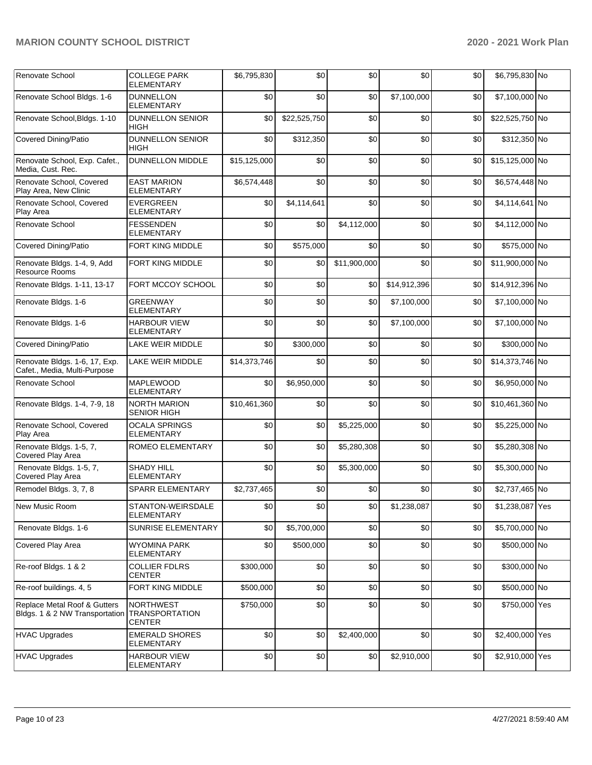| Renovate School                                                | <b>COLLEGE PARK</b><br><b>ELEMENTARY</b>                   | \$6,795,830  | \$0          | \$0          | \$0          | \$0 | \$6,795,830 No  |  |
|----------------------------------------------------------------|------------------------------------------------------------|--------------|--------------|--------------|--------------|-----|-----------------|--|
| Renovate School Bldgs. 1-6                                     | <b>DUNNELLON</b><br><b>ELEMENTARY</b>                      | \$0          | \$0          | \$0          | \$7,100,000  | \$0 | \$7,100,000 No  |  |
| Renovate School, Bldgs. 1-10                                   | <b>DUNNELLON SENIOR</b><br>HIGH                            | \$0          | \$22,525,750 | \$0          | \$0          | \$0 | \$22,525,750 No |  |
| Covered Dining/Patio                                           | <b>DUNNELLON SENIOR</b><br><b>HIGH</b>                     | \$0          | \$312,350    | \$0          | \$0          | \$0 | \$312,350 No    |  |
| Renovate School, Exp. Cafet.,<br>Media, Cust. Rec.             | <b>DUNNELLON MIDDLE</b>                                    | \$15,125,000 | \$0          | \$0          | \$0          | \$0 | \$15,125,000 No |  |
| Renovate School, Covered<br>Play Area, New Clinic              | <b>EAST MARION</b><br><b>ELEMENTARY</b>                    | \$6,574,448  | \$0          | \$0          | \$0          | \$0 | \$6,574,448 No  |  |
| Renovate School, Covered<br>Play Area                          | <b>EVERGREEN</b><br><b>ELEMENTARY</b>                      | \$0          | \$4,114,641  | \$0          | \$0          | \$0 | \$4,114,641 No  |  |
| Renovate School                                                | <b>FESSENDEN</b><br><b>ELEMENTARY</b>                      | \$0          | \$0          | \$4,112,000  | \$0          | \$0 | \$4,112,000 No  |  |
| <b>Covered Dining/Patio</b>                                    | FORT KING MIDDLE                                           | \$0          | \$575,000    | \$0          | \$0          | \$0 | \$575,000 No    |  |
| Renovate Bldgs. 1-4, 9, Add<br>Resource Rooms                  | FORT KING MIDDLE                                           | \$0          | \$0          | \$11,900,000 | \$0          | \$0 | \$11,900,000 No |  |
| Renovate Bldgs. 1-11, 13-17                                    | FORT MCCOY SCHOOL                                          | \$0          | \$0          | \$0          | \$14,912,396 | \$0 | \$14,912,396 No |  |
| Renovate Bldgs. 1-6                                            | <b>GREENWAY</b><br><b>ELEMENTARY</b>                       | \$0          | \$0          | \$0          | \$7,100,000  | \$0 | \$7,100,000 No  |  |
| Renovate Bldgs. 1-6                                            | <b>HARBOUR VIEW</b><br><b>ELEMENTARY</b>                   | \$0          | \$0          | \$0          | \$7,100,000  | \$0 | \$7,100,000 No  |  |
| Covered Dining/Patio                                           | LAKE WEIR MIDDLE                                           | \$0          | \$300,000    | \$0          | \$0          | \$0 | \$300,000 No    |  |
| Renovate Bldgs. 1-6, 17, Exp.<br>Cafet., Media, Multi-Purpose  | LAKE WEIR MIDDLE                                           | \$14,373,746 | \$0          | \$0          | \$0          | \$0 | \$14,373,746 No |  |
| Renovate School                                                | MAPLEWOOD<br><b>ELEMENTARY</b>                             | \$0          | \$6,950,000  | \$0          | \$0          | \$0 | \$6,950,000 No  |  |
| Renovate Bldgs. 1-4, 7-9, 18                                   | <b>NORTH MARION</b><br><b>SENIOR HIGH</b>                  | \$10,461,360 | \$0          | \$0          | \$0          | \$0 | \$10,461,360 No |  |
| Renovate School, Covered<br>Play Area                          | <b>OCALA SPRINGS</b><br>ELEMENTARY                         | \$0          | \$0          | \$5,225,000  | \$0          | \$0 | \$5,225,000 No  |  |
| Renovate Bldgs. 1-5, 7,<br>Covered Play Area                   | ROMEO ELEMENTARY                                           | \$0          | \$0          | \$5,280,308  | \$0          | \$0 | \$5,280,308 No  |  |
| Renovate Bldgs. 1-5, 7,<br>Covered Play Area                   | <b>SHADY HILL</b><br><b>ELEMENTARY</b>                     | \$0          | \$0          | \$5,300,000  | \$0          | \$0 | \$5,300,000 No  |  |
| Remodel Bldgs. 3, 7, 8                                         | SPARR ELEMENTARY                                           | \$2,737,465  | \$0          | \$0          | \$0          | \$0 | \$2,737,465 No  |  |
| New Music Room                                                 | STANTON-WEIRSDALE<br><b>ELEMENTARY</b>                     | \$0          | \$0          | \$0          | \$1,238,087  | \$0 | \$1,238,087 Yes |  |
| Renovate Bldgs. 1-6                                            | SUNRISE ELEMENTARY                                         | \$0          | \$5,700,000  | \$0          | \$0          | \$0 | \$5,700,000 No  |  |
| Covered Play Area                                              | <b>WYOMINA PARK</b><br><b>ELEMENTARY</b>                   | \$0          | \$500,000    | \$0          | \$0          | \$0 | \$500,000 No    |  |
| Re-roof Bldgs. 1 & 2                                           | <b>COLLIER FDLRS</b><br><b>CENTER</b>                      | \$300,000    | \$0          | \$0          | \$0          | \$0 | \$300,000 No    |  |
| Re-roof buildings. 4, 5                                        | FORT KING MIDDLE                                           | \$500,000    | \$0          | \$0          | \$0          | \$0 | \$500,000 No    |  |
| Replace Metal Roof & Gutters<br>Bldgs. 1 & 2 NW Transportation | <b>NORTHWEST</b><br><b>TRANSPORTATION</b><br><b>CENTER</b> | \$750,000    | \$0          | \$0          | \$0          | \$0 | \$750,000 Yes   |  |
| <b>HVAC Upgrades</b>                                           | <b>EMERALD SHORES</b><br>ELEMENTARY                        | \$0          | \$0          | \$2,400,000  | \$0          | \$0 | \$2,400,000 Yes |  |
| HVAC Upgrades                                                  | <b>HARBOUR VIEW</b><br>ELEMENTARY                          | \$0          | \$0          | \$0          | \$2,910,000  | \$0 | \$2,910,000 Yes |  |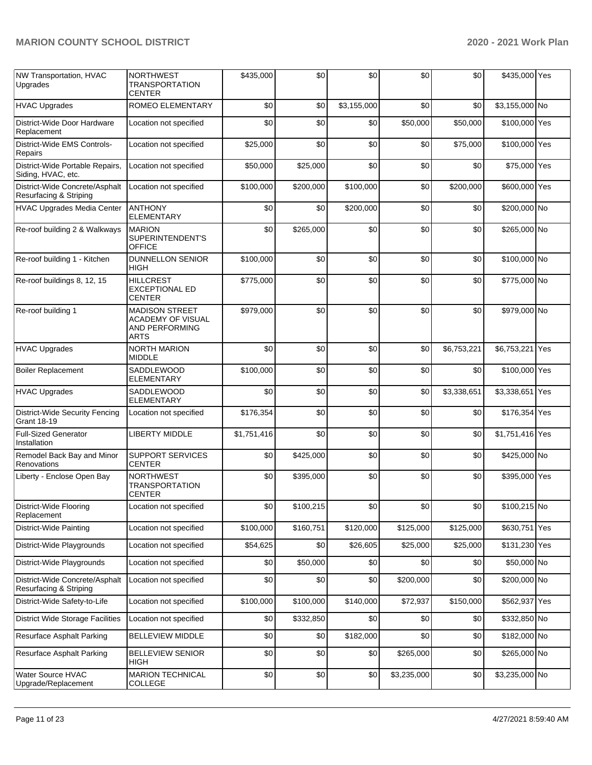| NW Transportation, HVAC<br>Upgrades                      | <b>NORTHWEST</b><br><b>TRANSPORTATION</b><br>CENTER                         | \$435,000   | \$0       | \$0         | \$0         | \$0         | \$435,000 Yes   |  |
|----------------------------------------------------------|-----------------------------------------------------------------------------|-------------|-----------|-------------|-------------|-------------|-----------------|--|
| <b>HVAC Upgrades</b>                                     | <b>ROMEO ELEMENTARY</b>                                                     | \$0         | \$0       | \$3,155,000 | \$0         | \$0         | \$3,155,000 No  |  |
| District-Wide Door Hardware<br>Replacement               | Location not specified                                                      | \$0         | \$0       | \$0         | \$50,000    | \$50,000    | \$100,000 Yes   |  |
| District-Wide EMS Controls-<br>Repairs                   | Location not specified                                                      | \$25,000    | \$0       | \$0         | \$0         | \$75,000    | \$100,000 Yes   |  |
| District-Wide Portable Repairs,<br>Siding, HVAC, etc.    | Location not specified                                                      | \$50,000    | \$25,000  | \$0         | \$0         | \$0         | \$75,000 Yes    |  |
| District-Wide Concrete/Asphalt<br>Resurfacing & Striping | Location not specified                                                      | \$100,000   | \$200,000 | \$100,000   | \$0         | \$200,000   | \$600,000 Yes   |  |
| <b>HVAC Upgrades Media Center</b>                        | <b>ANTHONY</b><br><b>ELEMENTARY</b>                                         | \$0         | \$0       | \$200,000   | \$0         | \$0         | \$200,000 No    |  |
| Re-roof building 2 & Walkways                            | <b>MARION</b><br>SUPERINTENDENT'S<br><b>OFFICE</b>                          | \$0         | \$265,000 | \$0         | \$0         | \$0         | \$265,000 No    |  |
| Re-roof building 1 - Kitchen                             | <b>DUNNELLON SENIOR</b><br><b>HIGH</b>                                      | \$100,000   | \$0       | \$0         | \$0         | \$0         | \$100,000 No    |  |
| Re-roof buildings 8, 12, 15                              | <b>HILLCREST</b><br><b>EXCEPTIONAL ED</b><br><b>CENTER</b>                  | \$775,000   | \$0       | \$0         | \$0         | \$0         | \$775,000 No    |  |
| Re-roof building 1                                       | <b>MADISON STREET</b><br><b>ACADEMY OF VISUAL</b><br>AND PERFORMING<br>ARTS | \$979,000   | \$0       | \$0         | \$0         | \$0         | \$979,000 No    |  |
| <b>HVAC Upgrades</b>                                     | <b>NORTH MARION</b><br><b>MIDDLE</b>                                        | \$0         | \$0       | \$0         | \$0         | \$6,753,221 | \$6,753,221 Yes |  |
| <b>Boiler Replacement</b>                                | SADDLEWOOD<br><b>ELEMENTARY</b>                                             | \$100,000   | \$0       | \$0         | \$0         | \$0         | \$100,000 Yes   |  |
| <b>HVAC Upgrades</b>                                     | SADDLEWOOD<br>ELEMENTARY                                                    | \$0         | \$0       | \$0         | \$0         | \$3,338,651 | \$3,338,651 Yes |  |
| District-Wide Security Fencing<br><b>Grant 18-19</b>     | Location not specified                                                      | \$176,354   | \$0       | \$0         | \$0         | \$0         | \$176,354 Yes   |  |
| <b>Full-Sized Generator</b><br>Installation              | <b>LIBERTY MIDDLE</b>                                                       | \$1,751,416 | \$0       | \$0         | \$0         | \$0         | \$1,751,416 Yes |  |
| Remodel Back Bay and Minor<br>Renovations                | <b>SUPPORT SERVICES</b><br><b>CENTER</b>                                    | \$0         | \$425,000 | \$0         | \$0         | \$0         | \$425,000 No    |  |
| Liberty - Enclose Open Bay                               | <b>NORTHWEST</b><br><b>TRANSPORTATION</b><br><b>CENTER</b>                  | \$0         | \$395,000 | \$0         | \$0         | \$0         | \$395,000 Yes   |  |
| District-Wide Flooring<br>Replacement                    | Location not specified                                                      | \$0         | \$100,215 | \$0         | \$0         | \$0         | \$100,215 No    |  |
| District-Wide Painting                                   | Location not specified                                                      | \$100,000   | \$160,751 | \$120,000   | \$125,000   | \$125,000   | \$630,751 Yes   |  |
| District-Wide Playgrounds                                | Location not specified                                                      | \$54,625    | \$0       | \$26,605    | \$25,000    | \$25,000    | \$131,230 Yes   |  |
| District-Wide Playgrounds                                | Location not specified                                                      | \$0         | \$50,000  | \$0         | \$0         | \$0         | \$50,000 No     |  |
| District-Wide Concrete/Asphalt<br>Resurfacing & Striping | Location not specified                                                      | \$0         | \$0       | \$0         | \$200,000   | \$0         | \$200,000 No    |  |
| District-Wide Safety-to-Life                             | Location not specified                                                      | \$100,000   | \$100,000 | \$140,000   | \$72,937    | \$150,000   | \$562,937 Yes   |  |
| <b>District Wide Storage Facilities</b>                  | Location not specified                                                      | \$0         | \$332,850 | \$0         | \$0         | \$0         | \$332,850 No    |  |
| Resurface Asphalt Parking                                | <b>BELLEVIEW MIDDLE</b>                                                     | \$0         | \$0       | \$182,000   | \$0         | \$0         | \$182,000 No    |  |
| <b>Resurface Asphalt Parking</b>                         | <b>BELLEVIEW SENIOR</b><br>HIGH                                             | \$0         | \$0       | \$0         | \$265,000   | \$0         | \$265,000 No    |  |
| Water Source HVAC<br>Upgrade/Replacement                 | <b>MARION TECHNICAL</b><br>COLLEGE                                          | \$0         | \$0       | \$0         | \$3,235,000 | \$0         | \$3,235,000 No  |  |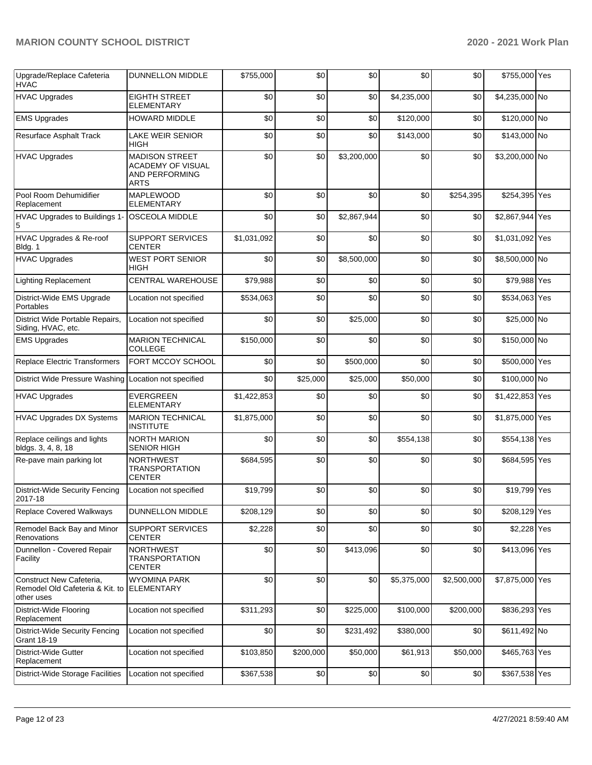| Upgrade/Replace Cafeteria<br><b>HVAC</b>                                  | <b>DUNNELLON MIDDLE</b>                                                            | \$755,000   | \$0       | \$0         | \$0         | \$0         | \$755,000 Yes   |  |
|---------------------------------------------------------------------------|------------------------------------------------------------------------------------|-------------|-----------|-------------|-------------|-------------|-----------------|--|
| <b>HVAC Upgrades</b>                                                      | <b>EIGHTH STREET</b><br><b>ELEMENTARY</b>                                          | \$0         | \$0       | \$0         | \$4,235,000 | \$0         | \$4,235,000 No  |  |
| <b>EMS Upgrades</b>                                                       | <b>HOWARD MIDDLE</b>                                                               | \$0         | \$0       | \$0         | \$120,000   | \$0         | \$120,000 No    |  |
| <b>Resurface Asphalt Track</b>                                            | <b>LAKE WEIR SENIOR</b><br>HIGH                                                    | \$0         | \$0       | \$0         | \$143,000   | \$0         | \$143,000 No    |  |
| <b>HVAC Upgrades</b>                                                      | <b>MADISON STREET</b><br><b>ACADEMY OF VISUAL</b><br>AND PERFORMING<br><b>ARTS</b> | \$0         | \$0       | \$3,200,000 | \$0         | \$0         | \$3,200,000 No  |  |
| Pool Room Dehumidifier<br>Replacement                                     | <b>MAPLEWOOD</b><br><b>ELEMENTARY</b>                                              | \$0         | \$0       | \$0         | \$0         | \$254,395   | \$254,395 Yes   |  |
| HVAC Upgrades to Buildings 1-<br>5                                        | OSCEOLA MIDDLE                                                                     | \$0         | \$0       | \$2,867,944 | \$0         | \$0         | \$2,867,944 Yes |  |
| HVAC Upgrades & Re-roof<br>Bldg. 1                                        | <b>SUPPORT SERVICES</b><br><b>CENTER</b>                                           | \$1,031,092 | \$0       | \$0         | \$0         | \$0         | \$1,031,092 Yes |  |
| <b>HVAC Upgrades</b>                                                      | <b>WEST PORT SENIOR</b><br><b>HIGH</b>                                             | \$0         | \$0       | \$8,500,000 | \$0         | \$0         | \$8,500,000 No  |  |
| <b>Lighting Replacement</b>                                               | <b>CENTRAL WAREHOUSE</b>                                                           | \$79,988    | \$0       | \$0         | \$0         | \$0         | \$79,988 Yes    |  |
| District-Wide EMS Upgrade<br>Portables                                    | Location not specified                                                             | \$534,063   | \$0       | \$0         | \$0         | \$0         | \$534,063 Yes   |  |
| District Wide Portable Repairs,<br>Siding, HVAC, etc.                     | Location not specified                                                             | \$0         | \$0       | \$25,000    | \$0         | \$0         | \$25,000 No     |  |
| <b>EMS Upgrades</b>                                                       | <b>MARION TECHNICAL</b><br>COLLEGE                                                 | \$150,000   | \$0       | \$0         | \$0         | \$0         | \$150,000 No    |  |
| Replace Electric Transformers                                             | FORT MCCOY SCHOOL                                                                  | \$0         | \$0       | \$500,000   | \$0         | \$0         | \$500,000 Yes   |  |
| District Wide Pressure Washing                                            | Location not specified                                                             | \$0         | \$25,000  | \$25,000    | \$50,000    | \$0         | \$100,000 No    |  |
| <b>HVAC Upgrades</b>                                                      | <b>EVERGREEN</b><br><b>ELEMENTARY</b>                                              | \$1,422,853 | \$0       | \$0         | \$0         | \$0         | \$1,422,853 Yes |  |
| <b>HVAC Upgrades DX Systems</b>                                           | <b>MARION TECHNICAL</b><br><b>INSTITUTE</b>                                        | \$1,875,000 | \$0       | \$0         | \$0         | \$0         | \$1,875,000 Yes |  |
| Replace ceilings and lights<br>bldgs. 3, 4, 8, 18                         | <b>NORTH MARION</b><br><b>SENIOR HIGH</b>                                          | \$0         | \$0       | \$0         | \$554,138   | \$0         | \$554,138 Yes   |  |
| Re-pave main parking lot                                                  | <b>NORTHWEST</b><br><b>TRANSPORTATION</b><br><b>CENTER</b>                         | \$684,595   | \$0       | \$0         | \$0         | \$0         | \$684,595 Yes   |  |
| <b>District-Wide Security Fencing</b><br>2017-18                          | Location not specified                                                             | \$19,799    | \$0       | \$0         | \$0         | \$0         | \$19,799 Yes    |  |
| <b>Replace Covered Walkways</b>                                           | <b>DUNNELLON MIDDLE</b>                                                            | \$208,129   | \$0       | \$0         | \$0         | \$0         | \$208,129 Yes   |  |
| Remodel Back Bay and Minor<br>Renovations                                 | SUPPORT SERVICES<br><b>CENTER</b>                                                  | \$2,228     | \$0       | \$0         | \$0         | \$0         | \$2,228 Yes     |  |
| Dunnellon - Covered Repair<br>Facility                                    | <b>NORTHWEST</b><br><b>TRANSPORTATION</b><br><b>CENTER</b>                         | \$0         | \$0       | \$413,096   | \$0         | \$0         | \$413,096 Yes   |  |
| Construct New Cafeteria,<br>Remodel Old Cafeteria & Kit. to<br>other uses | <b>WYOMINA PARK</b><br><b>ELEMENTARY</b>                                           | \$0         | \$0       | \$0         | \$5,375,000 | \$2,500,000 | \$7,875,000 Yes |  |
| District-Wide Flooring<br>Replacement                                     | Location not specified                                                             | \$311,293   | \$0       | \$225,000   | \$100,000   | \$200,000   | \$836,293 Yes   |  |
| <b>District-Wide Security Fencing</b><br><b>Grant 18-19</b>               | Location not specified                                                             | \$0         | \$0       | \$231,492   | \$380,000   | \$0         | \$611,492 No    |  |
| District-Wide Gutter<br>Replacement                                       | Location not specified                                                             | \$103,850   | \$200,000 | \$50,000    | \$61,913    | \$50,000    | \$465,763 Yes   |  |
| <b>District-Wide Storage Facilities</b>                                   | Location not specified                                                             | \$367,538   | \$0       | \$0         | \$0         | \$0         | \$367,538 Yes   |  |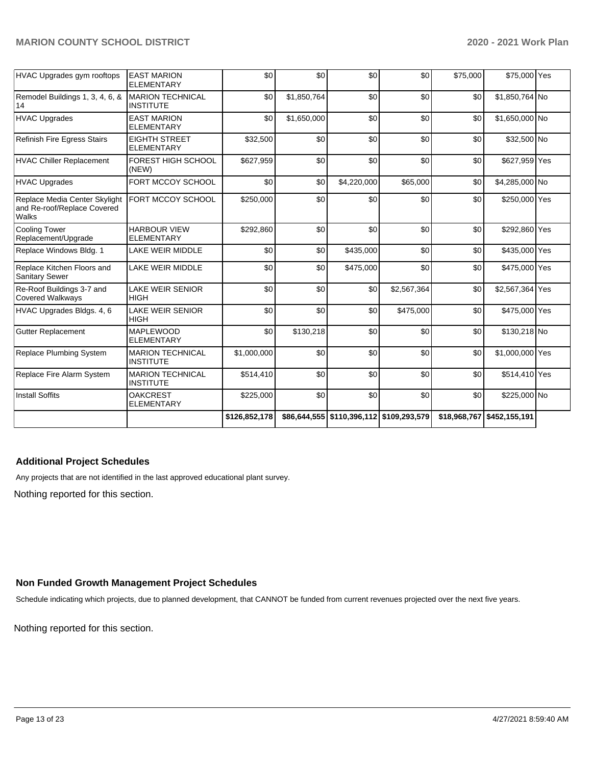| <b>HVAC Upgrades gym rooftops</b>                                     | <b>EAST MARION</b><br><b>ELEMENTARY</b>     | \$0           | \$0         | \$0                                          | \$0         | \$75,000 | \$75,000 Yes               |  |
|-----------------------------------------------------------------------|---------------------------------------------|---------------|-------------|----------------------------------------------|-------------|----------|----------------------------|--|
| Remodel Buildings 1, 3, 4, 6, &<br>14                                 | <b>MARION TECHNICAL</b><br><b>INSTITUTE</b> | \$0           | \$1,850,764 | \$0                                          | \$0         | \$0      | \$1,850,764 No             |  |
| <b>HVAC Upgrades</b>                                                  | <b>EAST MARION</b><br><b>ELEMENTARY</b>     | \$0           | \$1,650,000 | \$0                                          | \$0         | \$0      | \$1,650,000 No             |  |
| Refinish Fire Egress Stairs                                           | <b>EIGHTH STREET</b><br><b>ELEMENTARY</b>   | \$32,500      | \$0         | \$0                                          | \$0         | \$0      | \$32,500 No                |  |
| <b>HVAC Chiller Replacement</b>                                       | <b>FOREST HIGH SCHOOL</b><br>(NEW)          | \$627,959     | \$0         | \$0                                          | \$0         | \$0      | \$627,959 Yes              |  |
| <b>HVAC Upgrades</b>                                                  | FORT MCCOY SCHOOL                           | \$0           | \$0         | \$4,220,000                                  | \$65,000    | \$0      | \$4,285,000 No             |  |
| Replace Media Center Skylight<br>and Re-roof/Replace Covered<br>Walks | FORT MCCOY SCHOOL                           | \$250,000     | \$0         | \$0                                          | \$0         | \$0      | \$250,000 Yes              |  |
| <b>Cooling Tower</b><br>Replacement/Upgrade                           | <b>HARBOUR VIEW</b><br><b>ELEMENTARY</b>    | \$292,860     | \$0         | \$0                                          | \$0         | \$0      | \$292,860 Yes              |  |
| Replace Windows Bldg. 1                                               | LAKE WEIR MIDDLE                            | \$0           | \$0         | \$435,000                                    | \$0         | \$0      | \$435,000 Yes              |  |
| Replace Kitchen Floors and<br>Sanitary Sewer                          | <b>LAKE WEIR MIDDLE</b>                     | \$0           | \$0         | \$475,000                                    | \$0         | \$0      | \$475,000 Yes              |  |
| Re-Roof Buildings 3-7 and<br><b>Covered Walkways</b>                  | <b>LAKE WEIR SENIOR</b><br><b>HIGH</b>      | \$0           | \$0         | \$0                                          | \$2,567,364 | \$0      | \$2,567,364 Yes            |  |
| HVAC Upgrades Bldgs. 4, 6                                             | <b>LAKE WEIR SENIOR</b><br><b>HIGH</b>      | \$0           | \$0         | \$0                                          | \$475,000   | \$0      | \$475,000 Yes              |  |
| <b>Gutter Replacement</b>                                             | <b>MAPLEWOOD</b><br><b>ELEMENTARY</b>       | \$0           | \$130,218   | \$0                                          | \$0         | \$0      | \$130,218 No               |  |
| Replace Plumbing System                                               | <b>MARION TECHNICAL</b><br><b>INSTITUTE</b> | \$1,000,000   | \$0         | \$0                                          | \$0         | \$0      | \$1,000,000 Yes            |  |
| Replace Fire Alarm System                                             | <b>MARION TECHNICAL</b><br><b>INSTITUTE</b> | \$514,410     | \$0         | \$0                                          | \$0         | \$0      | \$514,410 Yes              |  |
| <b>Install Soffits</b>                                                | <b>OAKCREST</b><br><b>ELEMENTARY</b>        | \$225,000     | \$0         | \$0                                          | \$0         | \$0      | \$225,000 No               |  |
|                                                                       |                                             | \$126,852,178 |             | \$86,644,555   \$110,396,112   \$109,293,579 |             |          | \$18,968,767 \$452,155,191 |  |

### **Additional Project Schedules**

Any projects that are not identified in the last approved educational plant survey.

Nothing reported for this section.

## **Non Funded Growth Management Project Schedules**

Schedule indicating which projects, due to planned development, that CANNOT be funded from current revenues projected over the next five years.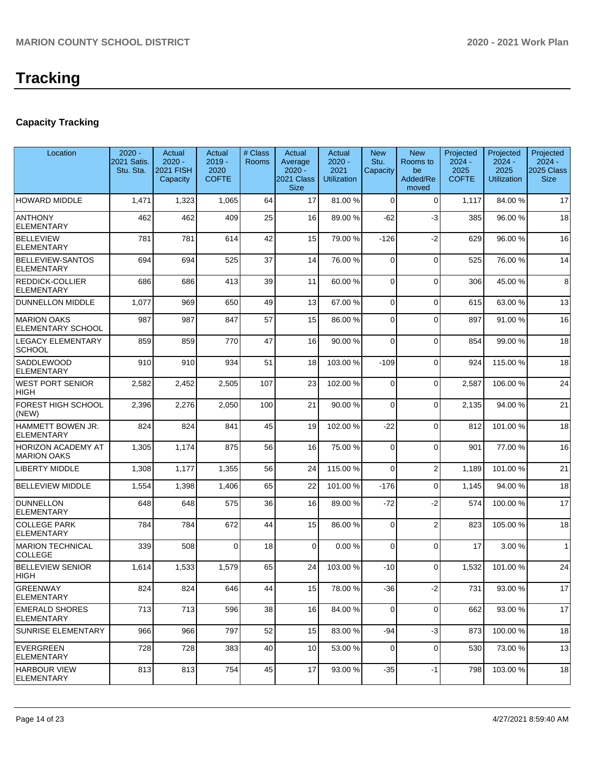# **Tracking**

# **Capacity Tracking**

| Location                                        | $2020 -$<br>2021 Satis.<br>Stu. Sta. | Actual<br>$2020 -$<br><b>2021 FISH</b><br>Capacity | Actual<br>$2019 -$<br>2020<br><b>COFTE</b> | # Class<br><b>Rooms</b> | Actual<br>Average<br>$2020 -$<br>2021 Class<br><b>Size</b> | Actual<br>$2020 -$<br>2021<br><b>Utilization</b> | <b>New</b><br>Stu.<br>Capacity | <b>New</b><br>Rooms to<br>be<br>Added/Re<br>moved | Projected<br>$2024 -$<br>2025<br><b>COFTE</b> | Projected<br>$2024 -$<br>2025<br><b>Utilization</b> | Projected<br>$2024 -$<br>2025 Class<br><b>Size</b> |
|-------------------------------------------------|--------------------------------------|----------------------------------------------------|--------------------------------------------|-------------------------|------------------------------------------------------------|--------------------------------------------------|--------------------------------|---------------------------------------------------|-----------------------------------------------|-----------------------------------------------------|----------------------------------------------------|
| <b>HOWARD MIDDLE</b>                            | 1,471                                | 1,323                                              | 1,065                                      | 64                      | 17                                                         | 81.00 %                                          | $\Omega$                       | $\Omega$                                          | 1,117                                         | 84.00%                                              | 17                                                 |
| <b>ANTHONY</b><br>ELEMENTARY                    | 462                                  | 462                                                | 409                                        | 25                      | 16                                                         | 89.00 %                                          | -62                            | $-3$                                              | 385                                           | 96.00 %                                             | 18                                                 |
| <b>BELLEVIEW</b><br><b>ELEMENTARY</b>           | 781                                  | 781                                                | 614                                        | 42                      | 15                                                         | 79.00 %                                          | $-126$                         | $-2$                                              | 629                                           | 96.00 %                                             | 16                                                 |
| <b>BELLEVIEW-SANTOS</b><br><b>ELEMENTARY</b>    | 694                                  | 694                                                | 525                                        | 37                      | 14                                                         | 76.00 %                                          | $\Omega$                       | $\Omega$                                          | 525                                           | 76.00 %                                             | 14                                                 |
| REDDICK-COLLIER<br><b>ELEMENTARY</b>            | 686                                  | 686                                                | 413                                        | 39                      | 11                                                         | 60.00 %                                          | $\Omega$                       | $\Omega$                                          | 306                                           | 45.00 %                                             | 8                                                  |
| <b>DUNNELLON MIDDLE</b>                         | 1,077                                | 969                                                | 650                                        | 49                      | 13                                                         | 67.00 %                                          | $\Omega$                       | $\Omega$                                          | 615                                           | 63.00 %                                             | 13                                                 |
| <b>MARION OAKS</b><br>ELEMENTARY SCHOOL         | 987                                  | 987                                                | 847                                        | 57                      | 15                                                         | 86.00 %                                          | $\Omega$                       | $\Omega$                                          | 897                                           | 91.00 %                                             | 16                                                 |
| <b>LEGACY ELEMENTARY</b><br><b>SCHOOL</b>       | 859                                  | 859                                                | 770                                        | 47                      | 16                                                         | 90.00 %                                          | $\Omega$                       | $\Omega$                                          | 854                                           | 99.00%                                              | 18                                                 |
| SADDLEWOOD<br><b>ELEMENTARY</b>                 | 910                                  | 910                                                | 934                                        | 51                      | 18                                                         | 103.00%                                          | $-109$                         | $\Omega$                                          | 924                                           | 115.00 %                                            | 18                                                 |
| <b>WEST PORT SENIOR</b><br>HIGH                 | 2,582                                | 2,452                                              | 2,505                                      | 107                     | 23                                                         | 102.00%                                          | $\Omega$                       | $\Omega$                                          | 2,587                                         | 106.00%                                             | 24                                                 |
| <b>FOREST HIGH SCHOOL</b><br>(NEW)              | 2,396                                | 2,276                                              | 2,050                                      | 100                     | 21                                                         | 90.00 %                                          | $\Omega$                       | $\Omega$                                          | 2,135                                         | 94.00%                                              | 21                                                 |
| HAMMETT BOWEN JR.<br><b>ELEMENTARY</b>          | 824                                  | 824                                                | 841                                        | 45                      | 19                                                         | 102.00%                                          | $-22$                          | $\Omega$                                          | 812                                           | 101.00%                                             | 18                                                 |
| <b>HORIZON ACADEMY AT</b><br><b>MARION OAKS</b> | 1,305                                | 1,174                                              | 875                                        | 56                      | 16                                                         | 75.00 %                                          | $\Omega$                       | $\Omega$                                          | 901                                           | 77.00 %                                             | 16                                                 |
| <b>LIBERTY MIDDLE</b>                           | 1,308                                | 1,177                                              | 1,355                                      | 56                      | 24                                                         | 115.00 %                                         | $\Omega$                       | $\overline{2}$                                    | 1,189                                         | 101.00%                                             | 21                                                 |
| <b>BELLEVIEW MIDDLE</b>                         | 1,554                                | 1,398                                              | 1,406                                      | 65                      | 22                                                         | 101.00%                                          | $-176$                         | $\Omega$                                          | 1,145                                         | 94.00%                                              | 18                                                 |
| <b>DUNNELLON</b><br><b>ELEMENTARY</b>           | 648                                  | 648                                                | 575                                        | 36                      | 16                                                         | 89.00%                                           | $-72$                          | $-2$                                              | 574                                           | 100.00%                                             | 17                                                 |
| <b>COLLEGE PARK</b><br><b>ELEMENTARY</b>        | 784                                  | 784                                                | 672                                        | 44                      | 15                                                         | 86.00 %                                          | $\Omega$                       | $\overline{2}$                                    | 823                                           | 105.00 %                                            | 18                                                 |
| <b>MARION TECHNICAL</b><br><b>COLLEGE</b>       | 339                                  | 508                                                | $\Omega$                                   | 18                      | $\mathbf 0$                                                | 0.00%                                            | $\Omega$                       | $\Omega$                                          | 17                                            | 3.00 %                                              | $\mathbf{1}$                                       |
| <b>BELLEVIEW SENIOR</b><br> HIGH                | 1,614                                | 1,533                                              | 1,579                                      | 65                      | 24                                                         | 103.00 %                                         | $-10$                          | $\Omega$                                          | 1,532                                         | 101.00%                                             | 24                                                 |
| GREENWAY<br><b>ELEMENTARY</b>                   | 824                                  | 824                                                | 646                                        | 44                      | 15                                                         | 78.00 %                                          | -36                            | $-2$                                              | 731                                           | 93.00 %                                             | 17                                                 |
| <b>EMERALD SHORES</b><br><b>ELEMENTARY</b>      | 713                                  | 713                                                | 596                                        | 38                      | 16                                                         | 84.00 %                                          | $\mathbf 0$                    | $\mathbf 0$                                       | 662                                           | 93.00 %                                             | 17                                                 |
| <b>SUNRISE ELEMENTARY</b>                       | 966                                  | 966                                                | 797                                        | 52                      | 15                                                         | 83.00 %                                          | $-94$                          | $-3$                                              | 873                                           | 100.00%                                             | 18                                                 |
| EVERGREEN<br><b>ELEMENTARY</b>                  | 728                                  | 728                                                | 383                                        | 40                      | 10                                                         | 53.00 %                                          | $\Omega$                       | $\mathbf 0$                                       | 530                                           | 73.00 %                                             | 13                                                 |
| <b>HARBOUR VIEW</b><br>ELEMENTARY               | 813                                  | 813                                                | 754                                        | 45                      | 17                                                         | 93.00 %                                          | $-35$                          | -1                                                | 798                                           | 103.00%                                             | 18                                                 |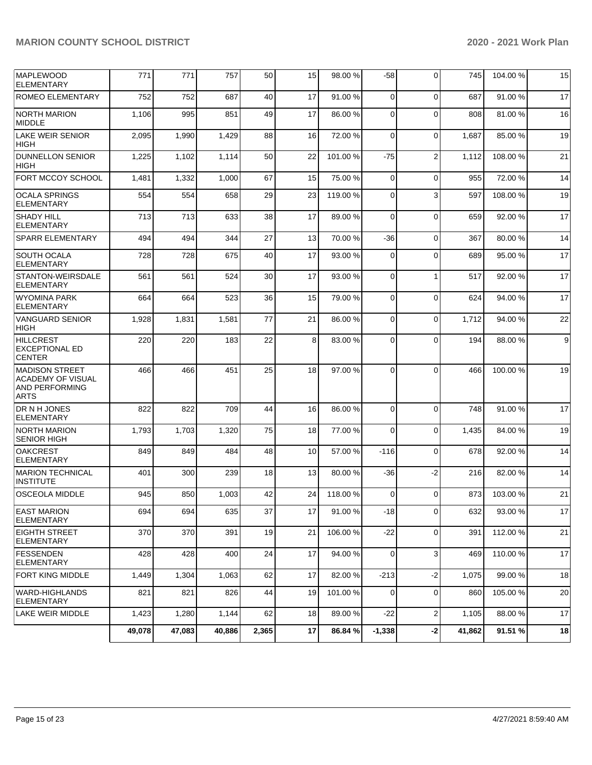| <b>MAPLEWOOD</b><br><b>ELEMENTARY</b>                                                     | 771    | 771    | 757    | 50    | 15 | 98.00 %  | -58         | $\Omega$         | 745    | 104.00%  | 15 |
|-------------------------------------------------------------------------------------------|--------|--------|--------|-------|----|----------|-------------|------------------|--------|----------|----|
| ROMEO ELEMENTARY                                                                          | 752    | 752    | 687    | 40    | 17 | 91.00 %  | $\mathbf 0$ | $\Omega$         | 687    | 91.00 %  | 17 |
| INORTH MARION<br><b>MIDDLE</b>                                                            | 1,106  | 995    | 851    | 49    | 17 | 86.00 %  | $\mathbf 0$ | $\Omega$         | 808    | 81.00 %  | 16 |
| <b>LAKE WEIR SENIOR</b><br><b>HIGH</b>                                                    | 2,095  | 1,990  | 1,429  | 88    | 16 | 72.00 %  | $\mathbf 0$ | $\mathbf 0$      | 1,687  | 85.00 %  | 19 |
| <b>DUNNELLON SENIOR</b><br><b>HIGH</b>                                                    | 1,225  | 1,102  | 1,114  | 50    | 22 | 101.00 % | -75         | $\overline{2}$   | 1,112  | 108.00%  | 21 |
| FORT MCCOY SCHOOL                                                                         | 1,481  | 1,332  | 1,000  | 67    | 15 | 75.00 %  | $\mathbf 0$ | $\Omega$         | 955    | 72.00 %  | 14 |
| <b>OCALA SPRINGS</b><br><b>ELEMENTARY</b>                                                 | 554    | 554    | 658    | 29    | 23 | 119.00 % | $\mathbf 0$ | 3                | 597    | 108.00%  | 19 |
| <b>SHADY HILL</b><br><b>ELEMENTARY</b>                                                    | 713    | 713    | 633    | 38    | 17 | 89.00 %  | $\mathbf 0$ | $\mathbf 0$      | 659    | 92.00 %  | 17 |
| <b>SPARR ELEMENTARY</b>                                                                   | 494    | 494    | 344    | 27    | 13 | 70.00%   | -36         | $\Omega$         | 367    | 80.00 %  | 14 |
| <b>SOUTH OCALA</b><br><b>ELEMENTARY</b>                                                   | 728    | 728    | 675    | 40    | 17 | 93.00 %  | 0           | $\Omega$         | 689    | 95.00 %  | 17 |
| STANTON-WEIRSDALE<br><b>ELEMENTARY</b>                                                    | 561    | 561    | 524    | 30    | 17 | 93.00 %  | $\mathbf 0$ | $\mathbf{1}$     | 517    | 92.00 %  | 17 |
| <b>WYOMINA PARK</b><br><b>ELEMENTARY</b>                                                  | 664    | 664    | 523    | 36    | 15 | 79.00 %  | 0           | $\mathbf 0$      | 624    | 94.00 %  | 17 |
| <b>VANGUARD SENIOR</b><br><b>HIGH</b>                                                     | 1,928  | 1,831  | 1,581  | 77    | 21 | 86.00 %  | 0           | $\Omega$         | 1,712  | 94.00 %  | 22 |
| <b>HILLCREST</b><br><b>EXCEPTIONAL ED</b><br><b>CENTER</b>                                | 220    | 220    | 183    | 22    | 8  | 83.00 %  | 0           | $\Omega$         | 194    | 88.00 %  | 9  |
| <b>MADISON STREET</b><br><b>ACADEMY OF VISUAL</b><br><b>AND PERFORMING</b><br><b>ARTS</b> | 466    | 466    | 451    | 25    | 18 | 97.00 %  | 0           | $\Omega$         | 466    | 100.00%  | 19 |
| DR N H JONES<br><b>ELEMENTARY</b>                                                         | 822    | 822    | 709    | 44    | 16 | 86.00 %  | $\mathbf 0$ | $\Omega$         | 748    | 91.00 %  | 17 |
| <b>NORTH MARION</b><br><b>SENIOR HIGH</b>                                                 | 1,793  | 1,703  | 1,320  | 75    | 18 | 77.00 %  | 0           | $\Omega$         | 1,435  | 84.00 %  | 19 |
| <b>OAKCREST</b><br><b>ELEMENTARY</b>                                                      | 849    | 849    | 484    | 48    | 10 | 57.00 %  | $-116$      | $\mathbf 0$      | 678    | 92.00 %  | 14 |
| <b>MARION TECHNICAL</b><br><b>INSTITUTE</b>                                               | 401    | 300    | 239    | 18    | 13 | 80.00 %  | -36         | $-2$             | 216    | 82.00 %  | 14 |
| <b>OSCEOLA MIDDLE</b>                                                                     | 945    | 850    | 1,003  | 42    | 24 | 118.00%  | 0           | $\Omega$         | 873    | 103.00 % | 21 |
| <b>EAST MARION</b><br><b>ELEMENTARY</b>                                                   | 694    | 694    | 635    | 37    | 17 | 91.00 %  | $-18$       | $\Omega$         | 632    | 93.00 %  | 17 |
| <b>EIGHTH STREET</b><br><b>ELEMENTARY</b>                                                 | 370    | 370    | 391    | 19    | 21 | 106.00%  | $-22$       | $\mathbf 0$      | 391    | 112.00%  | 21 |
| FESSENDEN<br>ELEMENTARY                                                                   | 428    | 428    | 400    | 24    | 17 | 94.00 %  | $\mathbf 0$ | 3                | 469    | 110.00%  | 17 |
| <b>FORT KING MIDDLE</b>                                                                   | 1,449  | 1,304  | 1,063  | 62    | 17 | 82.00 %  | $-213$      | $-2$             | 1,075  | 99.00 %  | 18 |
| IWARD-HIGHLANDS<br><b>ELEMENTARY</b>                                                      | 821    | 821    | 826    | 44    | 19 | 101.00%  | 0           | 0                | 860    | 105.00 % | 20 |
| <b>LAKE WEIR MIDDLE</b>                                                                   | 1,423  | 1,280  | 1,144  | 62    | 18 | 89.00 %  | $-22$       | $\boldsymbol{2}$ | 1,105  | 88.00 %  | 17 |
|                                                                                           | 49,078 | 47,083 | 40,886 | 2,365 | 17 | 86.84 %  | $-1,338$    | $-2$             | 41,862 | 91.51 %  | 18 |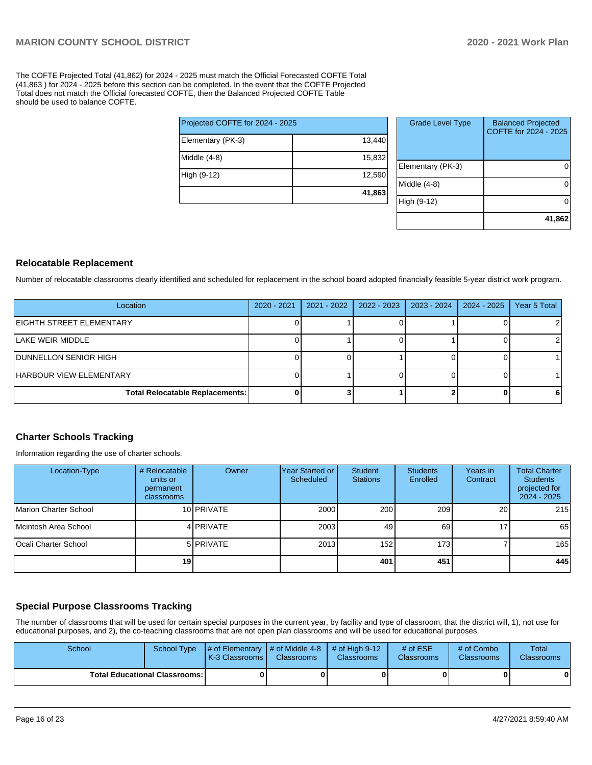The COFTE Projected Total (41,862) for 2024 - 2025 must match the Official Forecasted COFTE Total (41,863 ) for 2024 - 2025 before this section can be completed. In the event that the COFTE Projected Total does not match the Official forecasted COFTE, then the Balanced Projected COFTE Table should be used to balance COFTE.

|                                 | 41,863 |
|---------------------------------|--------|
| High (9-12)                     | 12,590 |
| Middle (4-8)                    | 15,832 |
| Elementary (PK-3)               | 13,440 |
| Projected COFTE for 2024 - 2025 |        |

| <b>Grade Level Type</b> | <b>Balanced Projected</b><br>COFTE for 2024 - 2025 |
|-------------------------|----------------------------------------------------|
| Elementary (PK-3)       |                                                    |
| Middle $(4-8)$          |                                                    |
| High (9-12)             |                                                    |
|                         | 41,862                                             |

### **Relocatable Replacement**

Number of relocatable classrooms clearly identified and scheduled for replacement in the school board adopted financially feasible 5-year district work program.

| Location                               | 2020 - 2021 | 2021 - 2022 | 2022 - 2023 | 2023 - 2024 | 2024 - 2025 | Year 5 Total |
|----------------------------------------|-------------|-------------|-------------|-------------|-------------|--------------|
| EIGHTH STREET ELEMENTARY               |             |             |             |             |             |              |
| LAKE WEIR MIDDLE                       |             |             |             |             |             |              |
| <b>DUNNELLON SENIOR HIGH</b>           |             |             |             |             |             |              |
| HARBOUR VIEW ELEMENTARY                |             |             |             |             |             |              |
| <b>Total Relocatable Replacements:</b> |             |             |             |             |             | 6            |

### **Charter Schools Tracking**

Information regarding the use of charter schools.

| Location-Type               | # Relocatable<br>units or<br>permanent<br><b>classrooms</b> | Owner      | Year Started or<br>Scheduled | Student<br><b>Stations</b> | <b>Students</b><br>Enrolled | Years in<br>Contract | <b>Total Charter</b><br><b>Students</b><br>projected for<br>2024 - 2025 |
|-----------------------------|-------------------------------------------------------------|------------|------------------------------|----------------------------|-----------------------------|----------------------|-------------------------------------------------------------------------|
| Marion Charter School       |                                                             | 10 PRIVATE | 2000                         | 200                        | 209                         | <b>20</b>            | 215                                                                     |
| Mcintosh Area School        |                                                             | 4 PRIVATE  | 2003                         | 49                         | 69                          | 17 <sub>1</sub>      | 65                                                                      |
| <b>Ocali Charter School</b> |                                                             | 5 PRIVATE  | 2013                         | 152                        | 173 <sup>1</sup>            |                      | 165                                                                     |
|                             | 19 <sub>1</sub>                                             |            |                              | 401                        | 451                         |                      | 445                                                                     |

### **Special Purpose Classrooms Tracking**

The number of classrooms that will be used for certain special purposes in the current year, by facility and type of classroom, that the district will, 1), not use for educational purposes, and 2), the co-teaching classrooms that are not open plan classrooms and will be used for educational purposes.

| School |                                        | School Type $\frac{1}{4}$ of Elementary $\frac{1}{4}$ of Middle 4-8 $\frac{1}{4}$ of High 9-12<br><b>K-3 Classrooms I</b> | <b>Classrooms</b> | <b>Classrooms</b> | # of $ESE$<br><b>Classrooms</b> | # of Combo<br><b>Classrooms</b> | Total<br><b>Classrooms</b> |
|--------|----------------------------------------|---------------------------------------------------------------------------------------------------------------------------|-------------------|-------------------|---------------------------------|---------------------------------|----------------------------|
|        | <b>Total Educational Classrooms: I</b> |                                                                                                                           |                   | 0                 |                                 |                                 |                            |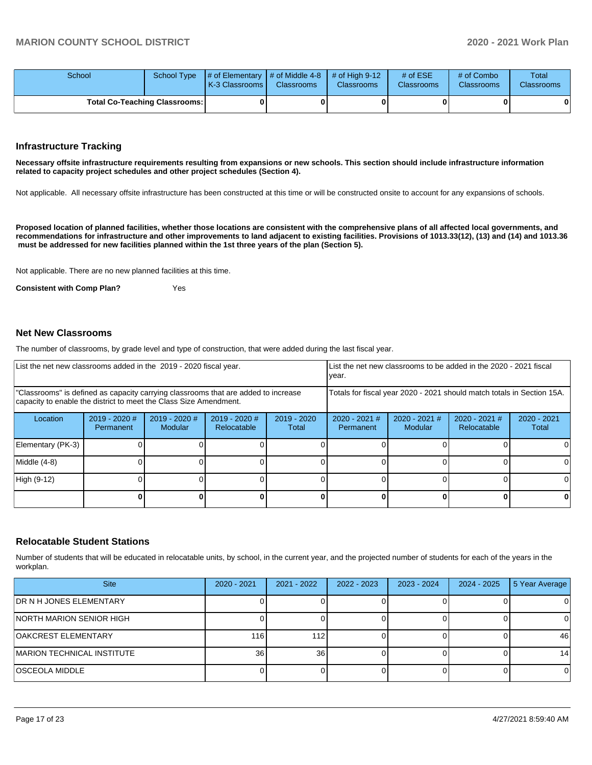| School |                                      | School Type $\frac{1}{4}$ of Elementary $\frac{1}{4}$ of Middle 4-8 $\frac{1}{4}$ of High 9-12<br><b>K-3 Classrooms L</b> | <b>Classrooms</b> | <b>Classrooms</b> | $#$ of ESE<br><b>Classrooms</b> | # of Combo<br><b>Classrooms</b> | Total<br><b>Classrooms</b> |
|--------|--------------------------------------|---------------------------------------------------------------------------------------------------------------------------|-------------------|-------------------|---------------------------------|---------------------------------|----------------------------|
|        | <b>Total Co-Teaching Classrooms:</b> |                                                                                                                           |                   |                   |                                 |                                 | 0                          |

### **Infrastructure Tracking**

**Necessary offsite infrastructure requirements resulting from expansions or new schools. This section should include infrastructure information related to capacity project schedules and other project schedules (Section 4).** 

Not applicable. All necessary offsite infrastructure has been constructed at this time or will be constructed onsite to account for any expansions of schools.

**Proposed location of planned facilities, whether those locations are consistent with the comprehensive plans of all affected local governments, and recommendations for infrastructure and other improvements to land adjacent to existing facilities. Provisions of 1013.33(12), (13) and (14) and 1013.36 must be addressed for new facilities planned within the 1st three years of the plan (Section 5).** 

Not applicable. There are no new planned facilities at this time.

**Consistent with Comp Plan?** Yes

### **Net New Classrooms**

The number of classrooms, by grade level and type of construction, that were added during the last fiscal year.

|                   | List the net new classrooms added in the 2019 - 2020 fiscal year. |                                                                                                                                                         |                              |                      |                                                                        | List the net new classrooms to be added in the 2020 - 2021 fiscal<br>year. |                              |                        |
|-------------------|-------------------------------------------------------------------|---------------------------------------------------------------------------------------------------------------------------------------------------------|------------------------------|----------------------|------------------------------------------------------------------------|----------------------------------------------------------------------------|------------------------------|------------------------|
|                   |                                                                   | "Classrooms" is defined as capacity carrying classrooms that are added to increase<br>capacity to enable the district to meet the Class Size Amendment. |                              |                      | Totals for fiscal year 2020 - 2021 should match totals in Section 15A. |                                                                            |                              |                        |
| Location          | 2019 - 2020 #<br>Permanent                                        | 2019 - 2020 #<br><b>Modular</b>                                                                                                                         | 2019 - 2020 #<br>Relocatable | 2019 - 2020<br>Total | $2020 - 2021$ #<br>Permanent                                           | 2020 - 2021 #<br>Modular                                                   | 2020 - 2021 #<br>Relocatable | $2020 - 2021$<br>Total |
| Elementary (PK-3) |                                                                   |                                                                                                                                                         |                              |                      |                                                                        |                                                                            |                              |                        |
| Middle (4-8)      |                                                                   |                                                                                                                                                         |                              |                      |                                                                        |                                                                            |                              |                        |
| High (9-12)       |                                                                   |                                                                                                                                                         |                              |                      |                                                                        |                                                                            |                              |                        |
|                   |                                                                   |                                                                                                                                                         |                              |                      |                                                                        |                                                                            |                              |                        |

### **Relocatable Student Stations**

Number of students that will be educated in relocatable units, by school, in the current year, and the projected number of students for each of the years in the workplan.

| <b>Site</b>                     | 2020 - 2021 | $2021 - 2022$ | $2022 - 2023$ | 2023 - 2024 | $2024 - 2025$ | 5 Year Average  |
|---------------------------------|-------------|---------------|---------------|-------------|---------------|-----------------|
| <b>IDR N H JONES ELEMENTARY</b> |             |               |               |             |               |                 |
| INORTH MARION SENIOR HIGH       |             |               |               |             |               |                 |
| OAKCREST ELEMENTARY             | 116         | 112           |               |             |               | 46              |
| MARION TECHNICAL INSTITUTE      | 36          | 36            |               |             |               | 14 <sup>1</sup> |
| IOSCEOLA MIDDLE                 |             |               |               |             |               |                 |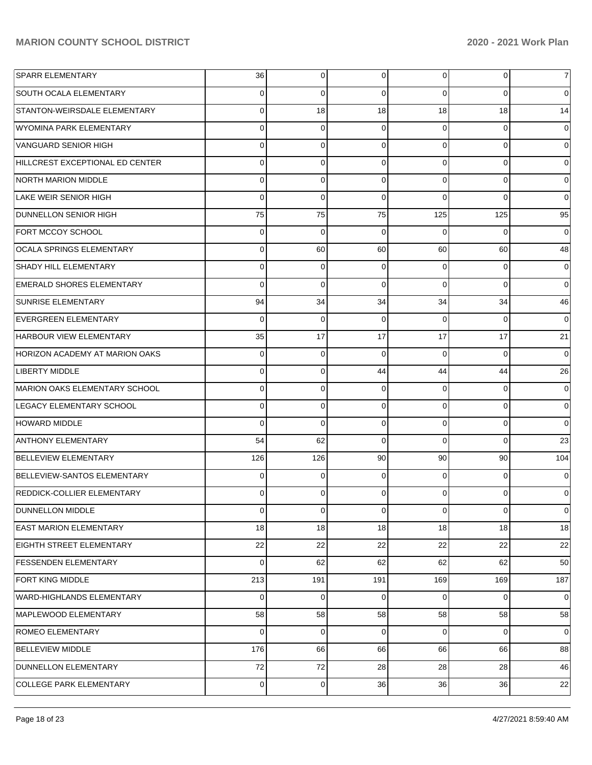| <b>SPARR ELEMENTARY</b>               | 36             | 0   | 0              | $\Omega$       | 0           | 7        |
|---------------------------------------|----------------|-----|----------------|----------------|-------------|----------|
| <b>SOUTH OCALA ELEMENTARY</b>         | 0              | 0   | 0              | 0              | $\Omega$    | 0        |
| STANTON-WEIRSDALE ELEMENTARY          | $\Omega$       | 18  | 18             | 18             | 18          | 14       |
| WYOMINA PARK ELEMENTARY               | $\Omega$       | 0   | 0              | 0              | 0           | 0        |
| VANGUARD SENIOR HIGH                  | $\Omega$       | 0   | $\Omega$       | $\Omega$       | $\Omega$    | $\Omega$ |
| HILLCREST EXCEPTIONAL ED CENTER       | $\Omega$       | 0   | 0              | $\Omega$       | $\Omega$    | 0        |
| <b>NORTH MARION MIDDLE</b>            | $\Omega$       | 0   | 0              | $\Omega$       | $\Omega$    | 0        |
| LAKE WEIR SENIOR HIGH                 | $\Omega$       | 0   | 0              | $\Omega$       | $\Omega$    | 0        |
| <b>DUNNELLON SENIOR HIGH</b>          | 75             | 75  | 75             | 125            | 125         | 95       |
| <b>FORT MCCOY SCHOOL</b>              | 0              | 0   | 0              | 0              | $\Omega$    | 0        |
| <b>OCALA SPRINGS ELEMENTARY</b>       | $\Omega$       | 60  | 60             | 60             | 60          | 48       |
| <b>SHADY HILL ELEMENTARY</b>          | $\Omega$       | 0   | 0              | $\Omega$       | 0           | 0        |
| EMERALD SHORES ELEMENTARY             | $\Omega$       | 0   | $\Omega$       | $\Omega$       | $\Omega$    | $\Omega$ |
| <b>SUNRISE ELEMENTARY</b>             | 94             | 34  | 34             | 34             | 34          | 46       |
| <b>EVERGREEN ELEMENTARY</b>           | $\Omega$       | 0   | 0              | 0              | $\Omega$    | $\Omega$ |
| <b>HARBOUR VIEW ELEMENTARY</b>        | 35             | 17  | 17             | 17             | 17          | 21       |
| <b>HORIZON ACADEMY AT MARION OAKS</b> | $\Omega$       | 0   | $\Omega$       | $\Omega$       | $\Omega$    | $\Omega$ |
| <b>LIBERTY MIDDLE</b>                 | $\Omega$       | 0   | 44             | 44             | 44          | 26       |
| MARION OAKS ELEMENTARY SCHOOL         | $\Omega$       | 0   | 0              | 0              | $\Omega$    | 0        |
| LEGACY ELEMENTARY SCHOOL              | $\Omega$       | 0   | 0              | $\Omega$       | $\mathbf 0$ | 0        |
| <b>HOWARD MIDDLE</b>                  | $\Omega$       | 0   | $\Omega$       | $\Omega$       | $\Omega$    | 0        |
| <b>ANTHONY ELEMENTARY</b>             | 54             | 62  | 0              | $\Omega$       | $\Omega$    | 23       |
| <b>BELLEVIEW ELEMENTARY</b>           | 126            | 126 | 90             | 90             | 90          | 104      |
| BELLEVIEW-SANTOS ELEMENTARY           | $\Omega$       | 0   | 0              | 0              | $\Omega$    | 0        |
| <b>REDDICK-COLLIER ELEMENTARY</b>     | 0              | 0   | 0              | 0              | $\Omega$    | 0        |
| <b>DUNNELLON MIDDLE</b>               | $\overline{0}$ | 0   | $\overline{0}$ | $\overline{0}$ | $\mathbf 0$ | 0        |
| <b>EAST MARION ELEMENTARY</b>         | 18             | 18  | 18             | 18             | 18          | 18       |
| <b>EIGHTH STREET ELEMENTARY</b>       | 22             | 22  | 22             | 22             | 22          | 22       |
| <b>FESSENDEN ELEMENTARY</b>           | $\Omega$       | 62  | 62             | 62             | 62          | 50       |
| <b>FORT KING MIDDLE</b>               | 213            | 191 | 191            | 169            | 169         | 187      |
| WARD-HIGHLANDS ELEMENTARY             | $\overline{0}$ | 0   | 0              | $\overline{0}$ | $\mathbf 0$ | 0        |
| MAPLEWOOD ELEMENTARY                  | 58             | 58  | 58             | 58             | 58          | 58       |
| ROMEO ELEMENTARY                      | $\Omega$       | 0   | 0              | $\overline{0}$ | $\mathbf 0$ | 0        |
| <b>BELLEVIEW MIDDLE</b>               | 176            | 66  | 66             | 66             | 66          | 88       |
| DUNNELLON ELEMENTARY                  | 72             | 72  | 28             | 28             | 28          | 46       |
| <b>COLLEGE PARK ELEMENTARY</b>        | $\mathbf 0$    | 0   | 36             | 36             | 36          | 22       |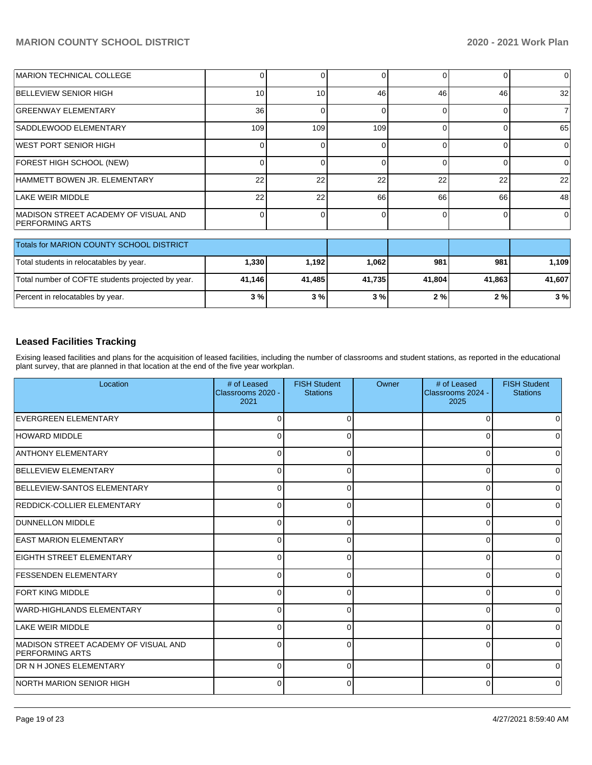| <b>IMARION TECHNICAL COLLEGE</b>                               |     |     |     |    |    | $\Omega$        |
|----------------------------------------------------------------|-----|-----|-----|----|----|-----------------|
| BELLEVIEW SENIOR HIGH                                          | 10  | 10  | 46  | 46 | 46 | 32 <sub>1</sub> |
| <b>GREENWAY ELEMENTARY</b>                                     | 36  |     |     |    |    |                 |
| ISADDLEWOOD ELEMENTARY                                         | 109 | 109 | 109 |    |    | 65              |
| IWEST PORT SENIOR HIGH                                         |     |     |     |    |    |                 |
| FOREST HIGH SCHOOL (NEW)                                       |     |     |     |    |    | 0               |
| HAMMETT BOWEN JR. ELEMENTARY                                   | 22  | 22  | 22  | 22 | 22 | 22              |
| LAKE WEIR MIDDLE                                               | 22  | 22  | 66  | 66 | 66 | 48              |
| MADISON STREET ACADEMY OF VISUAL AND<br><b>PERFORMING ARTS</b> |     |     |     |    |    | $\Omega$        |

| <b>Totals for MARION COUNTY SCHOOL DISTRICT</b>   |        |         |        |        |        |        |
|---------------------------------------------------|--------|---------|--------|--------|--------|--------|
| Total students in relocatables by year.           | 1,330  | 1.192 l | 1.062  | 981    | 981    | 1.109  |
| Total number of COFTE students projected by year. | 41.146 | 41.485  | 41.735 | 41.804 | 41.863 | 41.607 |
| Percent in relocatables by year.                  | 3%     | 3%      | 3%     | 2%     | 2 % l  | 3%     |

# **Leased Facilities Tracking**

Exising leased facilities and plans for the acquisition of leased facilities, including the number of classrooms and student stations, as reported in the educational plant survey, that are planned in that location at the end of the five year workplan.

| Location                                                       | # of Leased<br>Classrooms 2020 -<br>2021 | <b>FISH Student</b><br><b>Stations</b> | Owner | # of Leased<br>Classrooms 2024 -<br>2025 | <b>FISH Student</b><br><b>Stations</b> |
|----------------------------------------------------------------|------------------------------------------|----------------------------------------|-------|------------------------------------------|----------------------------------------|
| EVERGREEN ELEMENTARY                                           |                                          | ∩                                      |       | 0                                        | 0                                      |
| <b>HOWARD MIDDLE</b>                                           | $\Omega$                                 | $\Omega$                               |       | 0                                        | 0                                      |
| <b>ANTHONY ELEMENTARY</b>                                      | 0                                        | 0                                      |       | 0                                        | 0                                      |
| BELLEVIEW ELEMENTARY                                           | 0                                        | 0                                      |       | 0                                        | 0                                      |
| BELLEVIEW-SANTOS ELEMENTARY                                    | $\Omega$                                 | 0                                      |       | 0                                        | 0                                      |
| <b>REDDICK-COLLIER ELEMENTARY</b>                              | $\Omega$                                 | 0                                      |       | $\Omega$                                 | $\mathbf 0$                            |
| <b>DUNNELLON MIDDLE</b>                                        | $\Omega$                                 | 0                                      |       | 0                                        | 0                                      |
| <b>EAST MARION ELEMENTARY</b>                                  | C                                        | 0                                      |       | 0                                        | 0                                      |
| <b>EIGHTH STREET ELEMENTARY</b>                                | $\Omega$                                 | $\Omega$                               |       | $\Omega$                                 | 0                                      |
| <b>IFESSENDEN ELEMENTARY</b>                                   | $\Omega$                                 | $\Omega$                               |       | 0                                        | 0                                      |
| <b>FORT KING MIDDLE</b>                                        | $\Omega$                                 | 0                                      |       | $\Omega$                                 | 0                                      |
| WARD-HIGHLANDS ELEMENTARY                                      | $\Omega$                                 | $\Omega$                               |       | $\Omega$                                 | 0                                      |
| LAKE WEIR MIDDLE                                               | $\Omega$                                 | <sup>0</sup>                           |       | $\Omega$                                 | 0                                      |
| MADISON STREET ACADEMY OF VISUAL AND<br><b>PERFORMING ARTS</b> | C                                        | O                                      |       | 0                                        | 0                                      |
| <b>DR N H JONES ELEMENTARY</b>                                 | $\Omega$                                 | 0                                      |       | 0                                        | 0                                      |
| <b>INORTH MARION SENIOR HIGH</b>                               | $\Omega$                                 | 0                                      |       | $\mathbf 0$                              | $\mathbf 0$                            |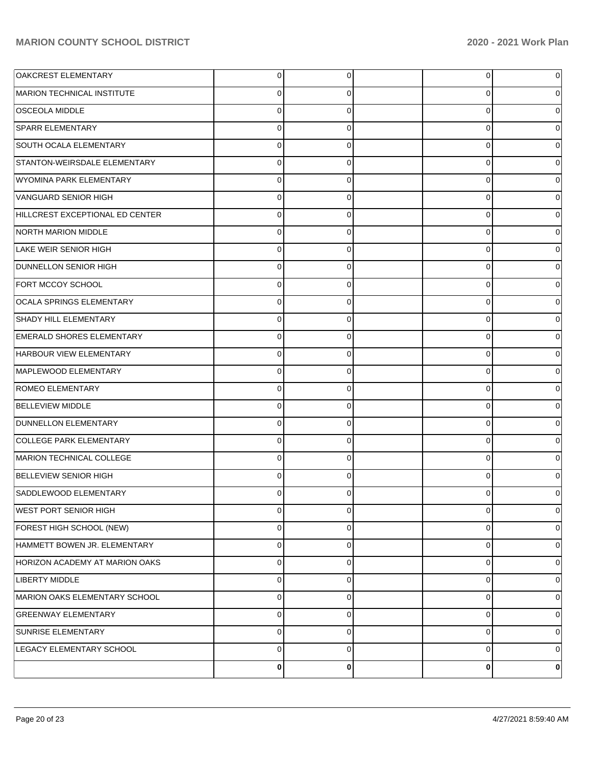| OAKCREST ELEMENTARY                   | 0 | 0           | 0              | 0        |
|---------------------------------------|---|-------------|----------------|----------|
| MARION TECHNICAL INSTITUTE            | 0 | 0           | 0              | 0        |
| <b>OSCEOLA MIDDLE</b>                 | 0 | 0           | 0              | $\Omega$ |
| <b>SPARR ELEMENTARY</b>               | 0 | 0           | 0              | 0        |
| SOUTH OCALA ELEMENTARY                | 0 | 0           | $\mathbf 0$    | 0        |
| STANTON-WEIRSDALE ELEMENTARY          | 0 | 0           | 0              | 0        |
| WYOMINA PARK ELEMENTARY               | 0 | 0           | 0              | 0        |
| VANGUARD SENIOR HIGH                  | 0 | 0           | 0              | 0        |
| HILLCREST EXCEPTIONAL ED CENTER       | 0 | 0           | $\mathbf 0$    | 0        |
| NORTH MARION MIDDLE                   | 0 | 0           | 0              | 0        |
| LAKE WEIR SENIOR HIGH                 | 0 | 0           | 0              | 0        |
| <b>DUNNELLON SENIOR HIGH</b>          | 0 | 0           | 0              | 0        |
| FORT MCCOY SCHOOL                     | 0 | 0           | $\mathbf 0$    | 0        |
| OCALA SPRINGS ELEMENTARY              | 0 | 0           | 0              | 0        |
| <b>SHADY HILL ELEMENTARY</b>          | 0 | 0           | $\mathbf 0$    | 0        |
| <b>EMERALD SHORES ELEMENTARY</b>      | 0 | 0           | 0              | 0        |
| HARBOUR VIEW ELEMENTARY               | 0 | 0           | $\mathbf 0$    | 0        |
| MAPLEWOOD ELEMENTARY                  | 0 | 0           | 0              | 0        |
| <b>ROMEO ELEMENTARY</b>               | 0 | 0           | $\mathbf 0$    | 0        |
| <b>BELLEVIEW MIDDLE</b>               | 0 | 0           | 0              | 0        |
| DUNNELLON ELEMENTARY                  | 0 | 0           | 0              | $\Omega$ |
| <b>COLLEGE PARK ELEMENTARY</b>        | 0 | 0           | 0              | 0        |
| MARION TECHNICAL COLLEGE              | 0 | 0           | $\mathbf 0$    | 0        |
| BELLEVIEW SENIOR HIGH                 | 0 | 0           | 0              | 0        |
| SADDLEWOOD ELEMENTARY                 |   | 0           | 0              |          |
| <b>WEST PORT SENIOR HIGH</b>          | 0 | 0           | $\overline{0}$ | 0        |
| FOREST HIGH SCHOOL (NEW)              | 0 | 0           | 0              | 0        |
| HAMMETT BOWEN JR. ELEMENTARY          | 0 | $\mathbf 0$ | 0              | 0        |
| <b>HORIZON ACADEMY AT MARION OAKS</b> | 0 | 0           | 0              | 0        |
| <b>LIBERTY MIDDLE</b>                 | 0 | $\mathbf 0$ | 0              | 0        |
| MARION OAKS ELEMENTARY SCHOOL         | 0 | 0           | 0              | 0        |
| <b>GREENWAY ELEMENTARY</b>            | 0 | $\mathbf 0$ | 0              | 0        |
| SUNRISE ELEMENTARY                    | 0 | 0           | 0              | 0        |
| LEGACY ELEMENTARY SCHOOL              | 0 | $\mathbf 0$ | $\mathbf 0$    | 0        |
|                                       | 0 | 0           | 0              | 0        |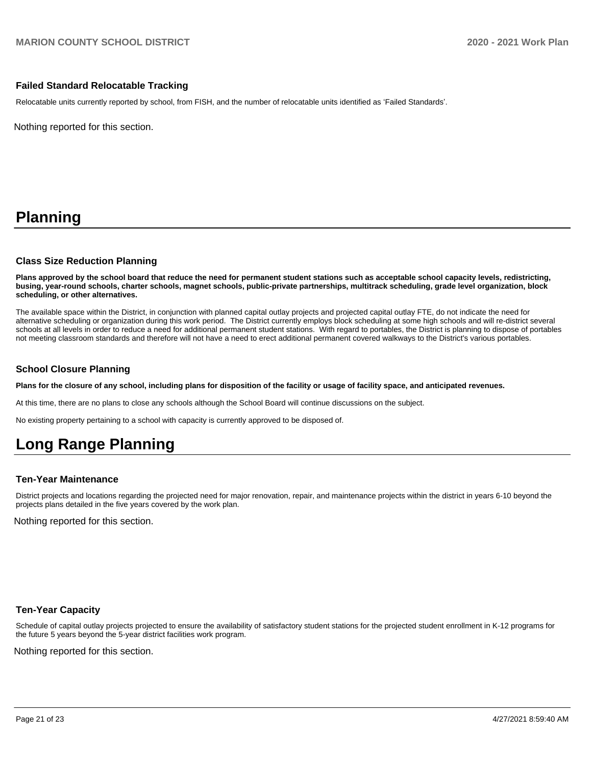### **Failed Standard Relocatable Tracking**

Relocatable units currently reported by school, from FISH, and the number of relocatable units identified as 'Failed Standards'.

Nothing reported for this section.

# **Planning**

### **Class Size Reduction Planning**

**Plans approved by the school board that reduce the need for permanent student stations such as acceptable school capacity levels, redistricting, busing, year-round schools, charter schools, magnet schools, public-private partnerships, multitrack scheduling, grade level organization, block scheduling, or other alternatives.**

The available space within the District, in conjunction with planned capital outlay projects and projected capital outlay FTE, do not indicate the need for alternative scheduling or organization during this work period. The District currently employs block scheduling at some high schools and will re-district several schools at all levels in order to reduce a need for additional permanent student stations. With regard to portables, the District is planning to dispose of portables not meeting classroom standards and therefore will not have a need to erect additional permanent covered walkways to the District's various portables.

### **School Closure Planning**

**Plans for the closure of any school, including plans for disposition of the facility or usage of facility space, and anticipated revenues.** 

At this time, there are no plans to close any schools although the School Board will continue discussions on the subject.

No existing property pertaining to a school with capacity is currently approved to be disposed of.

# **Long Range Planning**

### **Ten-Year Maintenance**

District projects and locations regarding the projected need for major renovation, repair, and maintenance projects within the district in years 6-10 beyond the projects plans detailed in the five years covered by the work plan.

Nothing reported for this section.

### **Ten-Year Capacity**

Schedule of capital outlay projects projected to ensure the availability of satisfactory student stations for the projected student enrollment in K-12 programs for the future 5 years beyond the 5-year district facilities work program.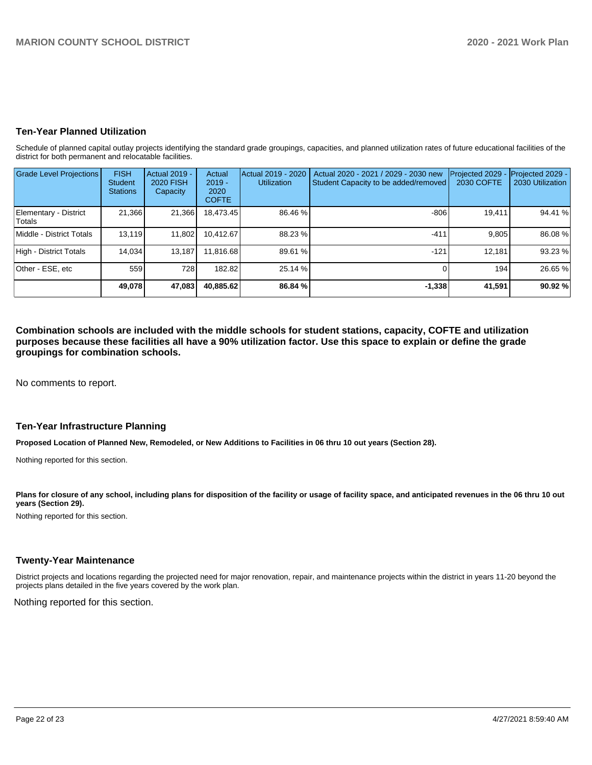## **Ten-Year Planned Utilization**

Schedule of planned capital outlay projects identifying the standard grade groupings, capacities, and planned utilization rates of future educational facilities of the district for both permanent and relocatable facilities.

| <b>Grade Level Projections</b>         | <b>FISH</b><br><b>Student</b><br><b>Stations</b> | <b>Actual 2019 -</b><br>2020 FISH<br>Capacity | Actual<br>$2019 -$<br>2020<br><b>COFTE</b> | Actual 2019 - 2020<br><b>Utilization</b> | Actual 2020 - 2021 / 2029 - 2030 new<br>Student Capacity to be added/removed | Projected 2029<br>2030 COFTE | Projected 2029 -<br>2030 Utilization |
|----------------------------------------|--------------------------------------------------|-----------------------------------------------|--------------------------------------------|------------------------------------------|------------------------------------------------------------------------------|------------------------------|--------------------------------------|
| Elementary - District<br><b>Totals</b> | 21,366                                           | 21,366                                        | 18,473.45                                  | 86.46 %                                  | $-806$                                                                       | 19,411                       | 94.41 %                              |
| Middle - District Totals               | 13,119                                           | 11,802                                        | 10.412.67                                  | 88.23 %                                  | $-411$                                                                       | 9,805                        | 86.08%                               |
| High - District Totals                 | 14.034                                           | 13.187                                        | 11.816.68                                  | 89.61 %                                  | $-121$                                                                       | 12.181                       | 93.23 %                              |
| Other - ESE, etc                       | 559                                              | 728                                           | 182.82                                     | 25.14 %                                  |                                                                              | 194                          | 26.65 %                              |
|                                        | 49.078                                           | 47,083                                        | 40,885.62                                  | 86.84 %                                  | $-1,338$                                                                     | 41,591                       | 90.92 %                              |

**Combination schools are included with the middle schools for student stations, capacity, COFTE and utilization purposes because these facilities all have a 90% utilization factor. Use this space to explain or define the grade groupings for combination schools.** 

No comments to report.

### **Ten-Year Infrastructure Planning**

**Proposed Location of Planned New, Remodeled, or New Additions to Facilities in 06 thru 10 out years (Section 28).**

Nothing reported for this section.

Plans for closure of any school, including plans for disposition of the facility or usage of facility space, and anticipated revenues in the 06 thru 10 out **years (Section 29).**

Nothing reported for this section.

### **Twenty-Year Maintenance**

District projects and locations regarding the projected need for major renovation, repair, and maintenance projects within the district in years 11-20 beyond the projects plans detailed in the five years covered by the work plan.